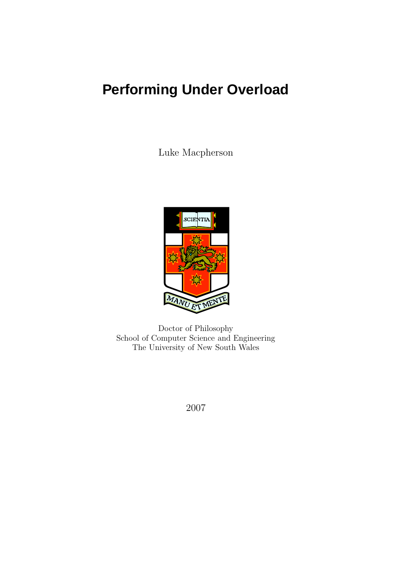# **Performing Under Overload**

Luke Macpherson



Doctor of Philosophy School of Computer Science and Engineering The University of New South Wales

2007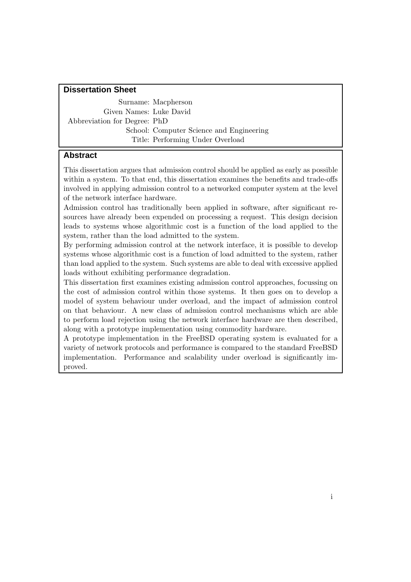### **Dissertation Sheet**

Surname: Macpherson Given Names: Luke David Abbreviation for Degree: PhD School: Computer Science and Engineering Title: Performing Under Overload

## **Abstract**

This dissertation argues that admission control should be applied as early as possible within a system. To that end, this dissertation examines the benefits and trade-offs involved in applying admission control to a networked computer system at the level of the network interface hardware.

Admission control has traditionally been applied in software, after significant resources have already been expended on processing a request. This design decision leads to systems whose algorithmic cost is a function of the load applied to the system, rather than the load admitted to the system.

By performing admission control at the network interface, it is possible to develop systems whose algorithmic cost is a function of load admitted to the system, rather than load applied to the system. Such systems are able to deal with excessive applied loads without exhibiting performance degradation.

This dissertation first examines existing admission control approaches, focussing on the cost of admission control within those systems. It then goes on to develop a model of system behaviour under overload, and the impact of admission control on that behaviour. A new class of admission control mechanisms which are able to perform load rejection using the network interface hardware are then described, along with a prototype implementation using commodity hardware.

A prototype implementation in the FreeBSD operating system is evaluated for a variety of network protocols and performance is compared to the standard FreeBSD implementation. Performance and scalability under overload is significantly improved.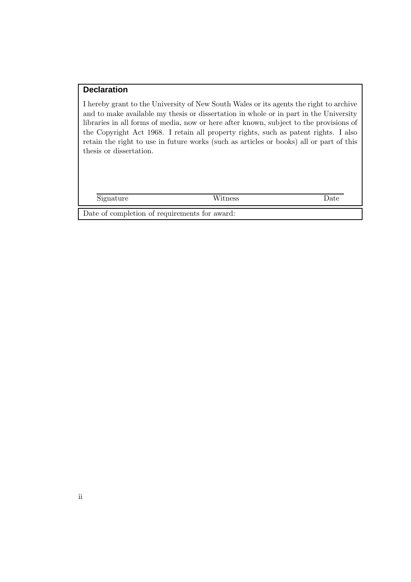## **Declaration**

I hereby grant to the University of New South Wales or its agents the right to archive and to make available my thesis or dissertation in whole or in part in the University libraries in all forms of media, now or here after known, subject to the provisions of the Copyright Act 1968. I retain all property rights, such as patent rights. I also retain the right to use in future works (such as articles or books) all or part of this thesis or dissertation.

Signature Witness Date

Date of completion of requirements for award: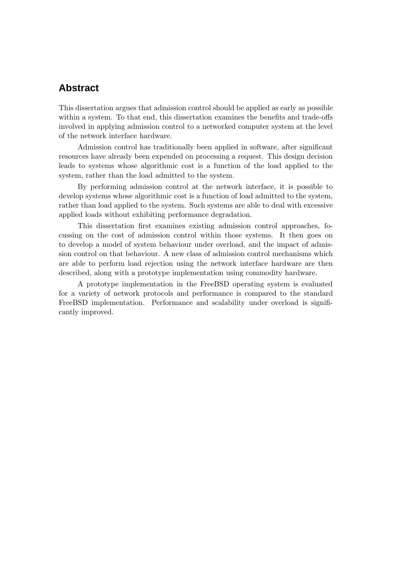## **Abstract**

This dissertation argues that admission control should be applied as early as possible within a system. To that end, this dissertation examines the benefits and trade-offs involved in applying admission control to a networked computer system at the level of the network interface hardware.

Admission control has traditionally been applied in software, after significant resources have already been expended on processing a request. This design decision leads to systems whose algorithmic cost is a function of the load applied to the system, rather than the load admitted to the system.

By performing admission control at the network interface, it is possible to develop systems whose algorithmic cost is a function of load admitted to the system, rather than load applied to the system. Such systems are able to deal with excessive applied loads without exhibiting performance degradation.

This dissertation first examines existing admission control approaches, focussing on the cost of admission control within those systems. It then goes on to develop a model of system behaviour under overload, and the impact of admission control on that behaviour. A new class of admission control mechanisms which are able to perform load rejection using the network interface hardware are then described, along with a prototype implementation using commodity hardware.

A prototype implementation in the FreeBSD operating system is evaluated for a variety of network protocols and performance is compared to the standard FreeBSD implementation. Performance and scalability under overload is significantly improved.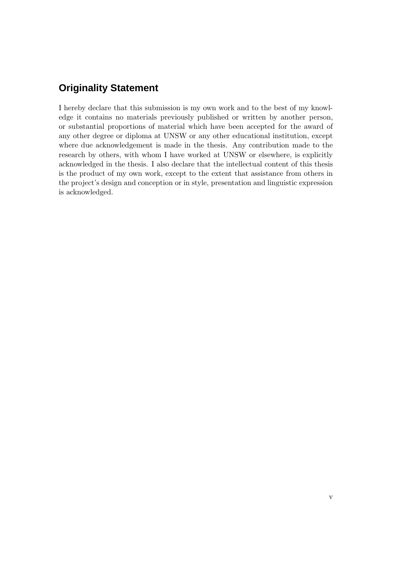## **Originality Statement**

I hereby declare that this submission is my own work and to the best of my knowledge it contains no materials previously published or written by another person, or substantial proportions of material which have been accepted for the award of any other degree or diploma at UNSW or any other educational institution, except where due acknowledgement is made in the thesis. Any contribution made to the research by others, with whom I have worked at UNSW or elsewhere, is explicitly acknowledged in the thesis. I also declare that the intellectual content of this thesis is the product of my own work, except to the extent that assistance from others in the project's design and conception or in style, presentation and linguistic expression is acknowledged.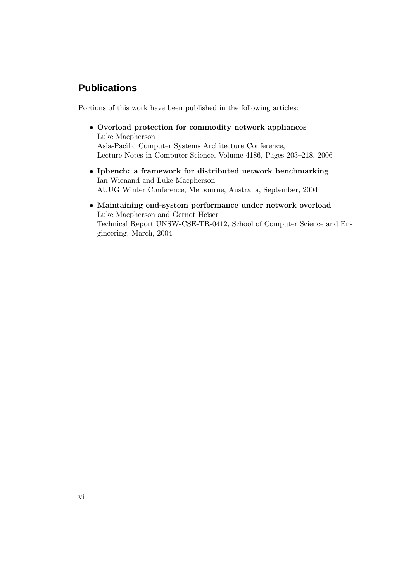## **Publications**

Portions of this work have been published in the following articles:

- Overload protection for commodity network appliances Luke Macpherson Asia-Pacific Computer Systems Architecture Conference, Lecture Notes in Computer Science, Volume 4186, Pages 203–218, 2006
- Ipbench: a framework for distributed network benchmarking Ian Wienand and Luke Macpherson AUUG Winter Conference, Melbourne, Australia, September, 2004
- Maintaining end-system performance under network overload Luke Macpherson and Gernot Heiser Technical Report UNSW-CSE-TR-0412, School of Computer Science and Engineering, March, 2004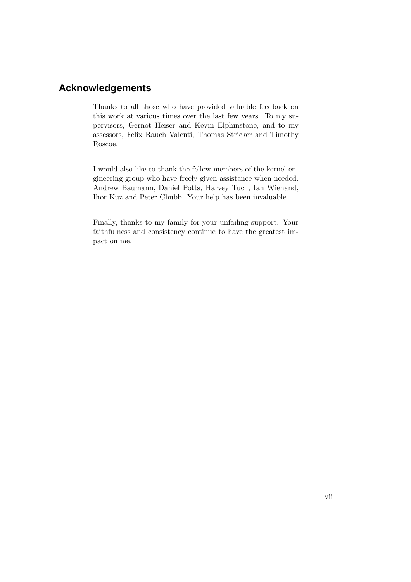## **Acknowledgements**

Thanks to all those who have provided valuable feedback on this work at various times over the last few years. To my supervisors, Gernot Heiser and Kevin Elphinstone, and to my assessors, Felix Rauch Valenti, Thomas Stricker and Timothy Roscoe.

I would also like to thank the fellow members of the kernel engineering group who have freely given assistance when needed. Andrew Baumann, Daniel Potts, Harvey Tuch, Ian Wienand, Ihor Kuz and Peter Chubb. Your help has been invaluable.

Finally, thanks to my family for your unfailing support. Your faithfulness and consistency continue to have the greatest impact on me.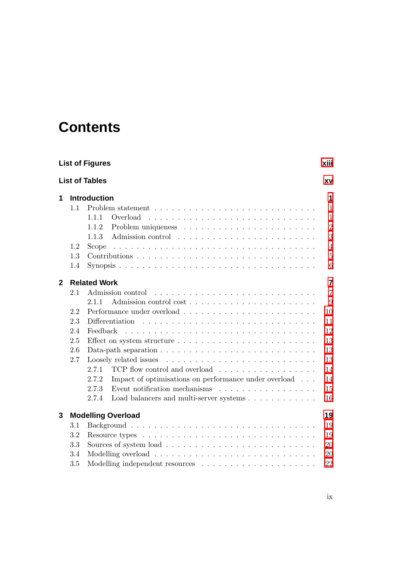## **Contents**

|              | <b>List of Figures</b><br>xiii |                                                                                             |                |  |  |  |  |  |  |
|--------------|--------------------------------|---------------------------------------------------------------------------------------------|----------------|--|--|--|--|--|--|
|              |                                | <b>List of Tables</b>                                                                       | XV             |  |  |  |  |  |  |
| 1            |                                | <b>Introduction</b>                                                                         |                |  |  |  |  |  |  |
|              | 1.1                            |                                                                                             | 1              |  |  |  |  |  |  |
|              |                                | 1.1.1                                                                                       | $\mathbf{1}$   |  |  |  |  |  |  |
|              |                                | 1.1.2                                                                                       | $\overline{2}$ |  |  |  |  |  |  |
|              |                                | 1.1.3                                                                                       | 3              |  |  |  |  |  |  |
|              | 1.2                            | Scope                                                                                       | $\overline{4}$ |  |  |  |  |  |  |
|              | 1.3                            |                                                                                             | $\overline{5}$ |  |  |  |  |  |  |
|              | 1.4                            |                                                                                             | 6              |  |  |  |  |  |  |
| $\mathbf{2}$ |                                | <b>Related Work</b>                                                                         |                |  |  |  |  |  |  |
|              | 2.1                            |                                                                                             | $\overline{7}$ |  |  |  |  |  |  |
|              |                                | 2.1.1                                                                                       | 9              |  |  |  |  |  |  |
|              | 2.2                            |                                                                                             | 10             |  |  |  |  |  |  |
|              | 2.3                            | Differentiation                                                                             | 11             |  |  |  |  |  |  |
|              | 2.4                            | Feedback                                                                                    | 12             |  |  |  |  |  |  |
|              | 2.5                            |                                                                                             | 13             |  |  |  |  |  |  |
|              | 2.6                            | Data-path separation $\ldots \ldots \ldots \ldots \ldots \ldots \ldots \ldots \ldots$<br>13 |                |  |  |  |  |  |  |
|              | 2.7                            |                                                                                             | 13             |  |  |  |  |  |  |
|              |                                | 2.7.1<br>TCP flow control and overload                                                      | 14             |  |  |  |  |  |  |
|              |                                | 2.7.2<br>Impact of optimisations on performance under overload                              | 14             |  |  |  |  |  |  |
|              |                                | Event notification mechanisms $\ldots \ldots \ldots \ldots \ldots \ldots$<br>2.7.3          | 15             |  |  |  |  |  |  |
|              |                                | 2.7.4<br>Load balancers and multi-server systems                                            | 16             |  |  |  |  |  |  |
| 3            |                                | <b>Modelling Overload</b>                                                                   | 19             |  |  |  |  |  |  |
|              | 3.1                            | 19                                                                                          |                |  |  |  |  |  |  |
|              | 3.2                            | 19                                                                                          |                |  |  |  |  |  |  |
|              | 3.3                            | 20                                                                                          |                |  |  |  |  |  |  |
|              | 3.4                            | 20                                                                                          |                |  |  |  |  |  |  |
|              | 3.5                            |                                                                                             | 22             |  |  |  |  |  |  |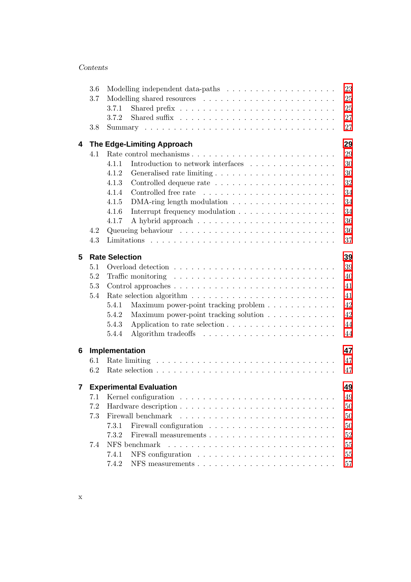#### Contents

|   | 3.6 |                                                                                         | 23 |  |  |  |  |  |  |  |
|---|-----|-----------------------------------------------------------------------------------------|----|--|--|--|--|--|--|--|
|   | 3.7 |                                                                                         | 25 |  |  |  |  |  |  |  |
|   |     | 3.7.1                                                                                   | 25 |  |  |  |  |  |  |  |
|   |     | 3.7.2<br>Shared suffix $\ldots \ldots \ldots \ldots \ldots \ldots \ldots \ldots \ldots$ | 27 |  |  |  |  |  |  |  |
|   | 3.8 |                                                                                         | 27 |  |  |  |  |  |  |  |
| 4 |     | 29<br>The Edge-Limiting Approach                                                        |    |  |  |  |  |  |  |  |
|   | 4.1 |                                                                                         | 29 |  |  |  |  |  |  |  |
|   |     | Introduction to network interfaces<br>4.1.1                                             | 30 |  |  |  |  |  |  |  |
|   |     | 4.1.2                                                                                   | 30 |  |  |  |  |  |  |  |
|   |     | 4.1.3                                                                                   | 32 |  |  |  |  |  |  |  |
|   |     | 4.1.4                                                                                   | 34 |  |  |  |  |  |  |  |
|   |     | 4.1.5<br>DMA-ring length modulation                                                     | 34 |  |  |  |  |  |  |  |
|   |     | Interrupt frequency modulation<br>4.1.6                                                 | 34 |  |  |  |  |  |  |  |
|   |     | 4.1.7                                                                                   | 36 |  |  |  |  |  |  |  |
|   | 4.2 |                                                                                         | 36 |  |  |  |  |  |  |  |
|   | 4.3 |                                                                                         | 37 |  |  |  |  |  |  |  |
| 5 |     | <b>Rate Selection</b>                                                                   | 39 |  |  |  |  |  |  |  |
|   | 5.1 |                                                                                         | 39 |  |  |  |  |  |  |  |
|   | 5.2 | Traffic monitoring $\dots \dots \dots \dots \dots \dots \dots \dots \dots \dots \dots$  | 40 |  |  |  |  |  |  |  |
|   | 5.3 |                                                                                         | 41 |  |  |  |  |  |  |  |
|   | 5.4 |                                                                                         | 41 |  |  |  |  |  |  |  |
|   |     | 5.4.1<br>Maximum power-point tracking problem $\ldots \ldots \ldots \ldots$             | 42 |  |  |  |  |  |  |  |
|   |     | Maximum power-point tracking solution<br>5.4.2                                          | 42 |  |  |  |  |  |  |  |
|   |     | 5.4.3                                                                                   | 44 |  |  |  |  |  |  |  |
|   |     | 5.4.4                                                                                   | 44 |  |  |  |  |  |  |  |
| 6 |     | Implementation                                                                          | 47 |  |  |  |  |  |  |  |
|   | 6.1 |                                                                                         | 47 |  |  |  |  |  |  |  |
|   | 6.2 |                                                                                         | 47 |  |  |  |  |  |  |  |
| 7 |     | <b>Experimental Evaluation</b>                                                          | 49 |  |  |  |  |  |  |  |
|   |     |                                                                                         | 49 |  |  |  |  |  |  |  |
|   | 7.2 |                                                                                         | 50 |  |  |  |  |  |  |  |
|   | 7.3 | Firewall benchmark                                                                      | 50 |  |  |  |  |  |  |  |
|   |     | 7.3.1                                                                                   | 50 |  |  |  |  |  |  |  |
|   |     | 7.3.2                                                                                   | 52 |  |  |  |  |  |  |  |
|   | 7.4 | NFS benchmark                                                                           | 55 |  |  |  |  |  |  |  |
|   |     | 7.4.1                                                                                   | 55 |  |  |  |  |  |  |  |
|   |     | 7.4.2                                                                                   | 57 |  |  |  |  |  |  |  |
|   |     |                                                                                         |    |  |  |  |  |  |  |  |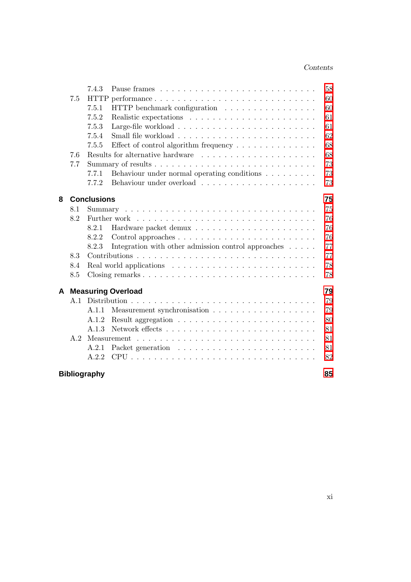#### Contents

|   |                          | 7.4.3               |                                                                    | 58 |  |  |  |  |  |  |
|---|--------------------------|---------------------|--------------------------------------------------------------------|----|--|--|--|--|--|--|
|   | 7.5                      |                     | HTTP performance                                                   | 60 |  |  |  |  |  |  |
|   |                          | 7.5.1               | HTTP benchmark configuration                                       | 60 |  |  |  |  |  |  |
|   |                          | 7.5.2               |                                                                    | 61 |  |  |  |  |  |  |
|   |                          | 7.5.3               |                                                                    | 61 |  |  |  |  |  |  |
|   |                          | 7.5.4               |                                                                    | 62 |  |  |  |  |  |  |
|   |                          | 7.5.5               | Effect of control algorithm frequency $\dots \dots \dots \dots$    | 68 |  |  |  |  |  |  |
|   | 7.6                      |                     | Results for alternative hardware                                   | 68 |  |  |  |  |  |  |
|   | 7.7                      |                     |                                                                    |    |  |  |  |  |  |  |
|   |                          | 7.7.1               | Behaviour under normal operating conditions $\ldots \ldots \ldots$ | 73 |  |  |  |  |  |  |
|   |                          | 7.7.2               |                                                                    | 73 |  |  |  |  |  |  |
| 8 | <b>Conclusions</b><br>75 |                     |                                                                    |    |  |  |  |  |  |  |
|   | 8.1                      |                     |                                                                    | 75 |  |  |  |  |  |  |
|   | 8.2                      |                     |                                                                    | 76 |  |  |  |  |  |  |
|   |                          | 8.2.1               |                                                                    | 76 |  |  |  |  |  |  |
|   |                          | 8.2.2               |                                                                    | 76 |  |  |  |  |  |  |
|   |                          | 8.2.3               | Integration with other admission control approaches $\dots$ .      | 77 |  |  |  |  |  |  |
|   | 8.3                      |                     |                                                                    | 77 |  |  |  |  |  |  |
|   | 8.4                      |                     | 78                                                                 |    |  |  |  |  |  |  |
|   | 8.5                      |                     | 78                                                                 |    |  |  |  |  |  |  |
| A |                          |                     | <b>Measuring Overload</b>                                          | 79 |  |  |  |  |  |  |
|   | A.1                      |                     |                                                                    | 79 |  |  |  |  |  |  |
|   |                          | A.1.1               |                                                                    | 79 |  |  |  |  |  |  |
|   |                          | A.1.2               |                                                                    | 80 |  |  |  |  |  |  |
|   |                          | A.1.3               |                                                                    | 81 |  |  |  |  |  |  |
|   | A.2                      |                     |                                                                    | 81 |  |  |  |  |  |  |
|   |                          | A.2.1               |                                                                    | 81 |  |  |  |  |  |  |
|   |                          | A.2.2               |                                                                    | 82 |  |  |  |  |  |  |
|   |                          | <b>Bibliography</b> |                                                                    | 85 |  |  |  |  |  |  |
|   |                          |                     |                                                                    |    |  |  |  |  |  |  |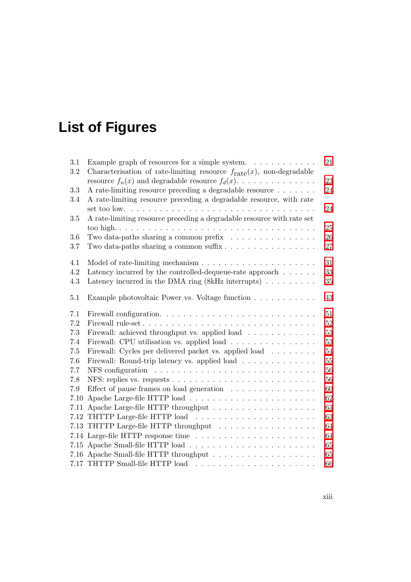# <span id="page-14-0"></span>**List of Figures**

| 3.1  | Example graph of resources for a simple system. $\dots \dots \dots$              | 21     |
|------|----------------------------------------------------------------------------------|--------|
| 3.2  | Characterisation of rate-limiting resource $f_{\text{rate}}(x)$ , non-degradable |        |
|      | resource $f_n(x)$ and degradable resource $f_d(x)$ .                             | 23     |
| 3.3  | A rate-limiting resource preceding a degradable resource                         | 24     |
| 3.4  | A rate-limiting resource preceding a degradable resource, with rate              |        |
|      |                                                                                  | 24     |
| 3.5  | A rate-limiting resource preceding a degradable resource with rate set           |        |
|      |                                                                                  | 25     |
| 3.6  | Two data-paths sharing a common prefix                                           | 26     |
| 3.7  | Two data-paths sharing a common suffix $\dots \dots \dots \dots \dots \dots$     | 27     |
| 4.1  |                                                                                  | 31     |
| 4.2  | Latency incurred by the controlled-dequeue-rate approach $\ldots \ldots$         | 33     |
| 4.3  | Latency incurred in the DMA ring $(8kHz$ interrupts)                             | $35\,$ |
|      |                                                                                  |        |
| 5.1  | Example photovoltaic Power vs. Voltage function                                  | $43\,$ |
|      |                                                                                  |        |
| 7.1  |                                                                                  | 51     |
| 7.2  |                                                                                  | 52     |
| 7.3  | Firewall: achieved throughput vs. applied load                                   | 53     |
| 7.4  | Firewall: CPU utilisation vs. applied load                                       | 53     |
| 7.5  | Firewall: Cycles per delivered packet vs. applied load                           | 54     |
| 7.6  | Firewall: Round-trip latency vs. applied load                                    | 55     |
| 7.7  |                                                                                  | 56     |
| 7.8  |                                                                                  | 56     |
| 7.9  | Effect of pause frames on load generation $\ldots \ldots \ldots \ldots \ldots$   | $60\,$ |
| 7.10 |                                                                                  | 62     |
|      |                                                                                  | 63     |
|      |                                                                                  | 63     |
|      | 7.13 THTTP Large-file HTTP throughput                                            | 64     |
|      |                                                                                  | 64     |
|      |                                                                                  | 65     |
|      |                                                                                  | 65     |
|      |                                                                                  | 66     |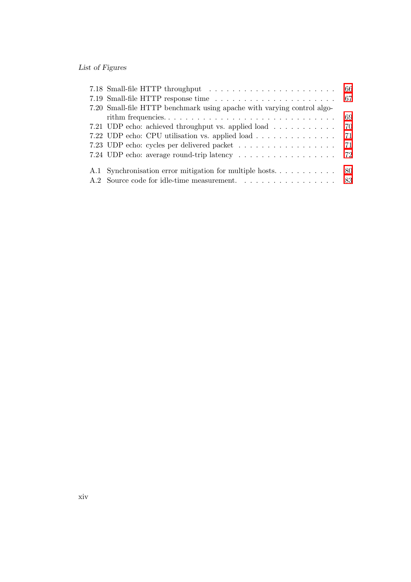## List of Figures

| 7.20 Small-file HTTP benchmark using a pache with varying control algo- |     |  |  |  |  |
|-------------------------------------------------------------------------|-----|--|--|--|--|
|                                                                         | 69  |  |  |  |  |
| 7.21 UDP echo: achieved throughput vs. applied load                     | -70 |  |  |  |  |
| 7.22 UDP echo: CPU utilisation vs. applied load                         | 71  |  |  |  |  |
|                                                                         |     |  |  |  |  |
|                                                                         |     |  |  |  |  |
|                                                                         |     |  |  |  |  |
|                                                                         |     |  |  |  |  |
| A.2 Source code for idle-time measurement. 83                           |     |  |  |  |  |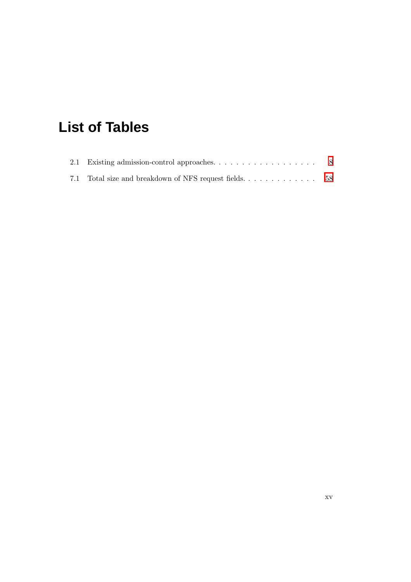## <span id="page-16-0"></span>**List of Tables**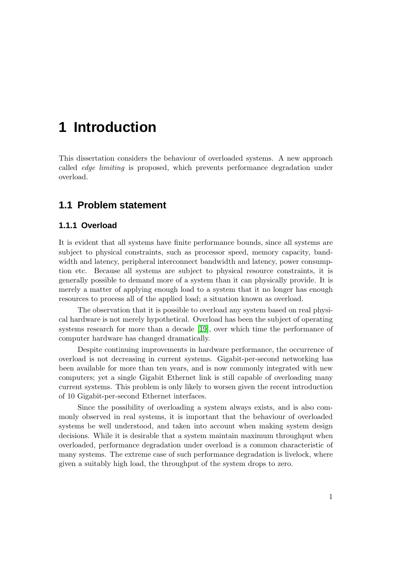## <span id="page-18-0"></span>**1 Introduction**

This dissertation considers the behaviour of overloaded systems. A new approach called edge limiting is proposed, which prevents performance degradation under overload.

## <span id="page-18-2"></span><span id="page-18-1"></span>**1.1 Problem statement**

#### **1.1.1 Overload**

It is evident that all systems have finite performance bounds, since all systems are subject to physical constraints, such as processor speed, memory capacity, bandwidth and latency, peripheral interconnect bandwidth and latency, power consumption etc. Because all systems are subject to physical resource constraints, it is generally possible to demand more of a system than it can physically provide. It is merely a matter of applying enough load to a system that it no longer has enough resources to process all of the applied load; a situation known as overload.

The observation that it is possible to overload any system based on real physical hardware is not merely hypothetical. Overload has been the subject of operating systems research for more than a decade [\[19\]](#page-103-0), over which time the performance of computer hardware has changed dramatically.

Despite continuing improvements in hardware performance, the occurrence of overload is not decreasing in current systems. Gigabit-per-second networking has been available for more than ten years, and is now commonly integrated with new computers; yet a single Gigabit Ethernet link is still capable of overloading many current systems. This problem is only likely to worsen given the recent introduction of 10 Gigabit-per-second Ethernet interfaces.

Since the possibility of overloading a system always exists, and is also commonly observed in real systems, it is important that the behaviour of overloaded systems be well understood, and taken into account when making system design decisions. While it is desirable that a system maintain maximum throughput when overloaded, performance degradation under overload is a common characteristic of many systems. The extreme case of such performance degradation is livelock, where given a suitably high load, the throughput of the system drops to zero.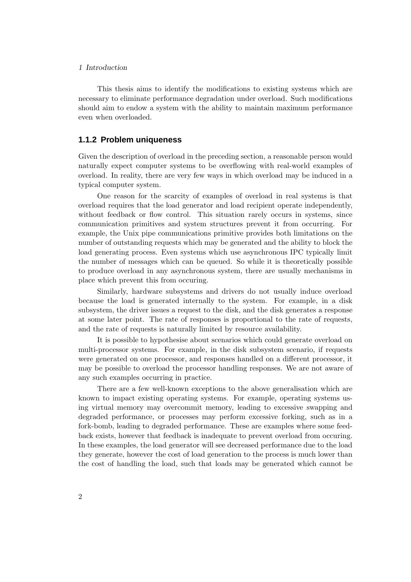#### 1 Introduction

This thesis aims to identify the modifications to existing systems which are necessary to eliminate performance degradation under overload. Such modifications should aim to endow a system with the ability to maintain maximum performance even when overloaded.

#### <span id="page-19-0"></span>**1.1.2 Problem uniqueness**

Given the description of overload in the preceding section, a reasonable person would naturally expect computer systems to be overflowing with real-world examples of overload. In reality, there are very few ways in which overload may be induced in a typical computer system.

One reason for the scarcity of examples of overload in real systems is that overload requires that the load generator and load recipient operate independently, without feedback or flow control. This situation rarely occurs in systems, since communication primitives and system structures prevent it from occurring. For example, the Unix pipe communications primitive provides both limitations on the number of outstanding requests which may be generated and the ability to block the load generating process. Even systems which use asynchronous IPC typically limit the number of messages which can be queued. So while it is theoretically possible to produce overload in any asynchronous system, there are usually mechanisms in place which prevent this from occuring.

Similarly, hardware subsystems and drivers do not usually induce overload because the load is generated internally to the system. For example, in a disk subsystem, the driver issues a request to the disk, and the disk generates a response at some later point. The rate of responses is proportional to the rate of requests, and the rate of requests is naturally limited by resource availability.

It is possible to hypothesise about scenarios which could generate overload on multi-processor systems. For example, in the disk subsystem scenario, if requests were generated on one processor, and responses handled on a different processor, it may be possible to overload the processor handling responses. We are not aware of any such examples occurring in practice.

There are a few well-known exceptions to the above generalisation which are known to impact existing operating systems. For example, operating systems using virtual memory may overcommit memory, leading to excessive swapping and degraded performance, or processes may perform excessive forking, such as in a fork-bomb, leading to degraded performance. These are examples where some feedback exists, however that feedback is inadequate to prevent overload from occuring. In these examples, the load generator will see decreased performance due to the load they generate, however the cost of load generation to the process is much lower than the cost of handling the load, such that loads may be generated which cannot be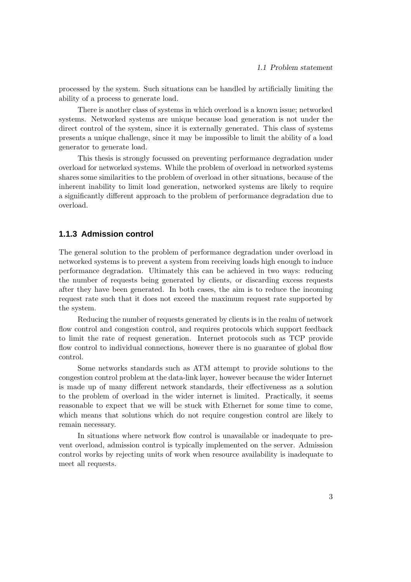processed by the system. Such situations can be handled by artificially limiting the ability of a process to generate load.

There is another class of systems in which overload is a known issue; networked systems. Networked systems are unique because load generation is not under the direct control of the system, since it is externally generated. This class of systems presents a unique challenge, since it may be impossible to limit the ability of a load generator to generate load.

This thesis is strongly focussed on preventing performance degradation under overload for networked systems. While the problem of overload in networked systems shares some similarities to the problem of overload in other situations, because of the inherent inability to limit load generation, networked systems are likely to require a significantly different approach to the problem of performance degradation due to overload.

#### <span id="page-20-0"></span>**1.1.3 Admission control**

The general solution to the problem of performance degradation under overload in networked systems is to prevent a system from receiving loads high enough to induce performance degradation. Ultimately this can be achieved in two ways: reducing the number of requests being generated by clients, or discarding excess requests after they have been generated. In both cases, the aim is to reduce the incoming request rate such that it does not exceed the maximum request rate supported by the system.

Reducing the number of requests generated by clients is in the realm of network flow control and congestion control, and requires protocols which support feedback to limit the rate of request generation. Internet protocols such as TCP provide flow control to individual connections, however there is no guarantee of global flow control.

Some networks standards such as ATM attempt to provide solutions to the congestion control problem at the data-link layer, however because the wider Internet is made up of many different network standards, their effectiveness as a solution to the problem of overload in the wider internet is limited. Practically, it seems reasonable to expect that we will be stuck with Ethernet for some time to come, which means that solutions which do not require congestion control are likely to remain necessary.

In situations where network flow control is unavailable or inadequate to prevent overload, admission control is typically implemented on the server. Admission control works by rejecting units of work when resource availability is inadequate to meet all requests.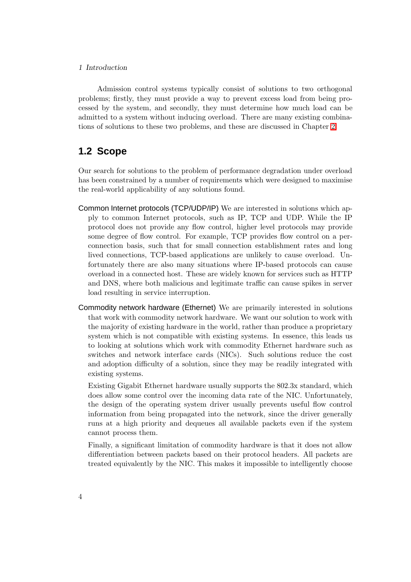#### 1 Introduction

Admission control systems typically consist of solutions to two orthogonal problems; firstly, they must provide a way to prevent excess load from being processed by the system, and secondly, they must determine how much load can be admitted to a system without inducing overload. There are many existing combinations of solutions to these two problems, and these are discussed in Chapter [2.](#page-24-0)

## <span id="page-21-0"></span>**1.2 Scope**

Our search for solutions to the problem of performance degradation under overload has been constrained by a number of requirements which were designed to maximise the real-world applicability of any solutions found.

- Common Internet protocols (TCP/UDP/IP) We are interested in solutions which apply to common Internet protocols, such as IP, TCP and UDP. While the IP protocol does not provide any flow control, higher level protocols may provide some degree of flow control. For example, TCP provides flow control on a perconnection basis, such that for small connection establishment rates and long lived connections, TCP-based applications are unlikely to cause overload. Unfortunately there are also many situations where IP-based protocols can cause overload in a connected host. These are widely known for services such as HTTP and DNS, where both malicious and legitimate traffic can cause spikes in server load resulting in service interruption.
- Commodity network hardware (Ethernet) We are primarily interested in solutions that work with commodity network hardware. We want our solution to work with the majority of existing hardware in the world, rather than produce a proprietary system which is not compatible with existing systems. In essence, this leads us to looking at solutions which work with commodity Ethernet hardware such as switches and network interface cards (NICs). Such solutions reduce the cost and adoption difficulty of a solution, since they may be readily integrated with existing systems.

Existing Gigabit Ethernet hardware usually supports the 802.3x standard, which does allow some control over the incoming data rate of the NIC. Unfortunately, the design of the operating system driver usually prevents useful flow control information from being propagated into the network, since the driver generally runs at a high priority and dequeues all available packets even if the system cannot process them.

Finally, a significant limitation of commodity hardware is that it does not allow differentiation between packets based on their protocol headers. All packets are treated equivalently by the NIC. This makes it impossible to intelligently choose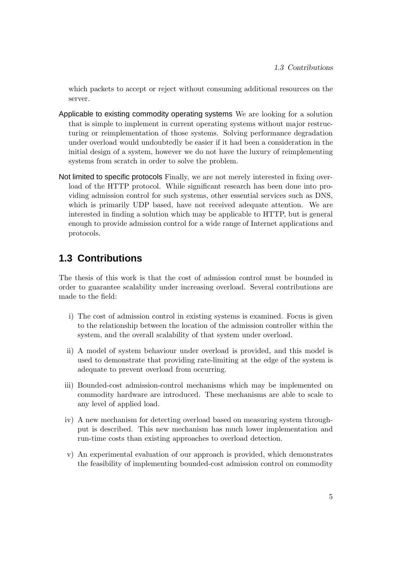which packets to accept or reject without consuming additional resources on the server.

- Applicable to existing commodity operating systems We are looking for a solution that is simple to implement in current operating systems without major restructuring or reimplementation of those systems. Solving performance degradation under overload would undoubtedly be easier if it had been a consideration in the initial design of a system, however we do not have the luxury of reimplementing systems from scratch in order to solve the problem.
- Not limited to specific protocols Finally, we are not merely interested in fixing overload of the HTTP protocol. While significant research has been done into providing admission control for such systems, other essential services such as DNS, which is primarily UDP based, have not received adequate attention. We are interested in finding a solution which may be applicable to HTTP, but is general enough to provide admission control for a wide range of Internet applications and protocols.

## <span id="page-22-0"></span>**1.3 Contributions**

The thesis of this work is that the cost of admission control must be bounded in order to guarantee scalability under increasing overload. Several contributions are made to the field:

- i) The cost of admission control in existing systems is examined. Focus is given to the relationship between the location of the admission controller within the system, and the overall scalability of that system under overload.
- ii) A model of system behaviour under overload is provided, and this model is used to demonstrate that providing rate-limiting at the edge of the system is adequate to prevent overload from occurring.
- iii) Bounded-cost admission-control mechanisms which may be implemented on commodity hardware are introduced. These mechanisms are able to scale to any level of applied load.
- iv) A new mechanism for detecting overload based on measuring system throughput is described. This new mechanism has much lower implementation and run-time costs than existing approaches to overload detection.
- v) An experimental evaluation of our approach is provided, which demonstrates the feasibility of implementing bounded-cost admission control on commodity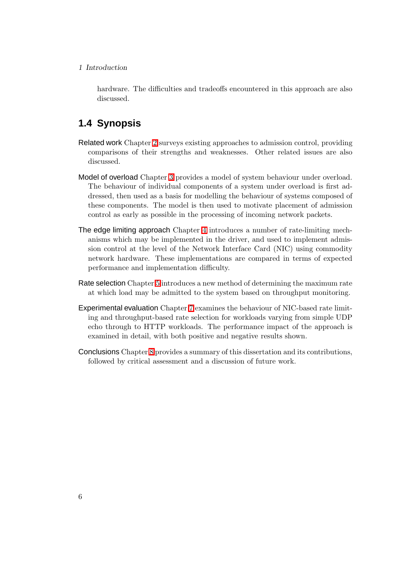#### 1 Introduction

hardware. The difficulties and tradeoffs encountered in this approach are also discussed.

## <span id="page-23-0"></span>**1.4 Synopsis**

- Related work Chapter [2](#page-24-0) surveys existing approaches to admission control, providing comparisons of their strengths and weaknesses. Other related issues are also discussed.
- Model of overload Chapter [3](#page-36-0) provides a model of system behaviour under overload. The behaviour of individual components of a system under overload is first addressed, then used as a basis for modelling the behaviour of systems composed of these components. The model is then used to motivate placement of admission control as early as possible in the processing of incoming network packets.
- The edge limiting approach Chapter [4](#page-46-0) introduces a number of rate-limiting mechanisms which may be implemented in the driver, and used to implement admission control at the level of the Network Interface Card (NIC) using commodity network hardware. These implementations are compared in terms of expected performance and implementation difficulty.
- Rate selection Chapter [5](#page-56-0) introduces a new method of determining the maximum rate at which load may be admitted to the system based on throughput monitoring.
- Experimental evaluation Chapter [7](#page-66-0) examines the behaviour of NIC-based rate limiting and throughput-based rate selection for workloads varying from simple UDP echo through to HTTP workloads. The performance impact of the approach is examined in detail, with both positive and negative results shown.
- Conclusions Chapter [8](#page-92-0) provides a summary of this dissertation and its contributions, followed by critical assessment and a discussion of future work.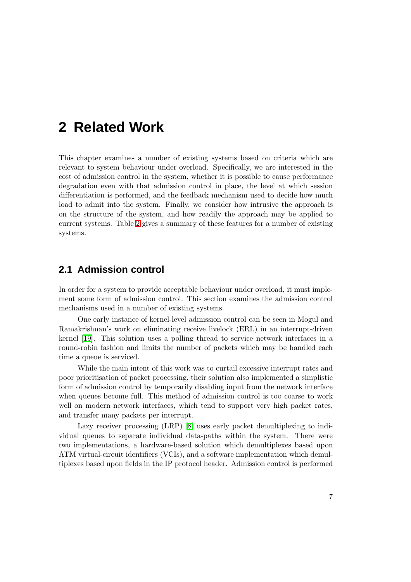## <span id="page-24-0"></span>**2 Related Work**

This chapter examines a number of existing systems based on criteria which are relevant to system behaviour under overload. Specifically, we are interested in the cost of admission control in the system, whether it is possible to cause performance degradation even with that admission control in place, the level at which session differentiation is performed, and the feedback mechanism used to decide how much load to admit into the system. Finally, we consider how intrusive the approach is on the structure of the system, and how readily the approach may be applied to current systems. Table [2](#page-24-0) gives a summary of these features for a number of existing systems.

## <span id="page-24-1"></span>**2.1 Admission control**

In order for a system to provide acceptable behaviour under overload, it must implement some form of admission control. This section examines the admission control mechanisms used in a number of existing systems.

One early instance of kernel-level admission control can be seen in Mogul and Ramakrishnan's work on eliminating receive livelock (ERL) in an interrupt-driven kernel [\[19\]](#page-103-0). This solution uses a polling thread to service network interfaces in a round-robin fashion and limits the number of packets which may be handled each time a queue is serviced.

While the main intent of this work was to curtail excessive interrupt rates and poor prioritisation of packet processing, their solution also implemented a simplistic form of admission control by temporarily disabling input from the network interface when queues become full. This method of admission control is too coarse to work well on modern network interfaces, which tend to support very high packet rates, and transfer many packets per interrupt.

Lazy receiver processing (LRP) [\[8\]](#page-102-1) uses early packet demultiplexing to individual queues to separate individual data-paths within the system. There were two implementations, a hardware-based solution which demultiplexes based upon ATM virtual-circuit identifiers (VCIs), and a software implementation which demultiplexes based upon fields in the IP protocol header. Admission control is performed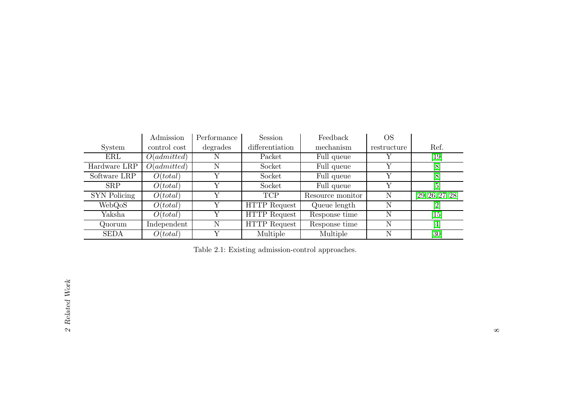|                     | Admission    | Performance | <b>Session</b>      | Feedback         | OS          |                                                                                                                                                                                       |
|---------------------|--------------|-------------|---------------------|------------------|-------------|---------------------------------------------------------------------------------------------------------------------------------------------------------------------------------------|
| System              | control cost | degrades    | differentiation     | mechanism        | restructure | Ref.                                                                                                                                                                                  |
| ERL                 | O(admitted)  | N           | Packet              | Full queue       |             | [19]                                                                                                                                                                                  |
| Hardware LRP        | O(admitted)  | N           | Socket              | Full queue       | Y           | $\left[8\right]$                                                                                                                                                                      |
| Software LRP        | O(total)     |             | Socket              | Full queue       | Y           | $\left[8\right]$                                                                                                                                                                      |
| <b>SRP</b>          | O(total)     | Y           | Socket              | Full queue       | Y           | [5]                                                                                                                                                                                   |
| <b>SYN</b> Policing | O(total)     | Y           | <b>TCP</b>          | Resource monitor | Ν           | [29, 26, 27, 28]                                                                                                                                                                      |
| WebQoS              | O(total)     | Y           | <b>HTTP</b> Request | Queue length     | N           | $\left[ 2\right]$                                                                                                                                                                     |
| Yaksha              | O(total)     | Y           | <b>HTTP</b> Request | Response time    | N           | 15                                                                                                                                                                                    |
| Quorum              | Independent  | N           | <b>HTTP</b> Request | Response time    | N           | $[4] % \includegraphics[width=1\textwidth]{images/TrDiM-Architecture.png} \caption{The figure shows the results of the estimators in the left hand side.} \label{TrDiM-Architecture}$ |
| <b>SEDA</b>         | O(total)     | v           | Multiple            | Multiple         | N           | $\left[30\right]$                                                                                                                                                                     |

<span id="page-25-0"></span>Table 2.1: Existing admission-control approaches.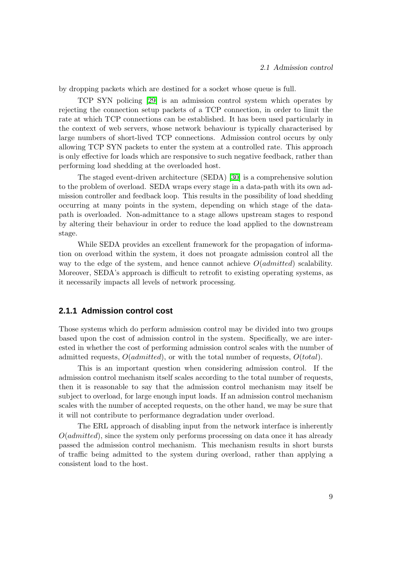by dropping packets which are destined for a socket whose queue is full.

TCP SYN policing [\[29\]](#page-104-5) is an admission control system which operates by rejecting the connection setup packets of a TCP connection, in order to limit the rate at which TCP connections can be established. It has been used particularly in the context of web servers, whose network behaviour is typically characterised by large numbers of short-lived TCP connections. Admission control occurs by only allowing TCP SYN packets to enter the system at a controlled rate. This approach is only effective for loads which are responsive to such negative feedback, rather than performing load shedding at the overloaded host.

The staged event-driven architecture (SEDA) [\[30\]](#page-104-6) is a comprehensive solution to the problem of overload. SEDA wraps every stage in a data-path with its own admission controller and feedback loop. This results in the possibility of load shedding occurring at many points in the system, depending on which stage of the datapath is overloaded. Non-admittance to a stage allows upstream stages to respond by altering their behaviour in order to reduce the load applied to the downstream stage.

While SEDA provides an excellent framework for the propagation of information on overload within the system, it does not proagate admission control all the way to the edge of the system, and hence cannot achieve  $O(admitted)$  scalability. Moreover, SEDA's approach is difficult to retrofit to existing operating systems, as it necessarily impacts all levels of network processing.

#### <span id="page-26-0"></span>**2.1.1 Admission control cost**

Those systems which do perform admission control may be divided into two groups based upon the cost of admission control in the system. Specifically, we are interested in whether the cost of performing admission control scales with the number of admitted requests,  $O(admitted)$ , or with the total number of requests,  $O(total)$ .

This is an important question when considering admission control. If the admission control mechanism itself scales according to the total number of requests, then it is reasonable to say that the admission control mechanism may itself be subject to overload, for large enough input loads. If an admission control mechanism scales with the number of accepted requests, on the other hand, we may be sure that it will not contribute to performance degradation under overload.

The ERL approach of disabling input from the network interface is inherently  $O(admitted)$ , since the system only performs processing on data once it has already passed the admission control mechanism. This mechanism results in short bursts of traffic being admitted to the system during overload, rather than applying a consistent load to the host.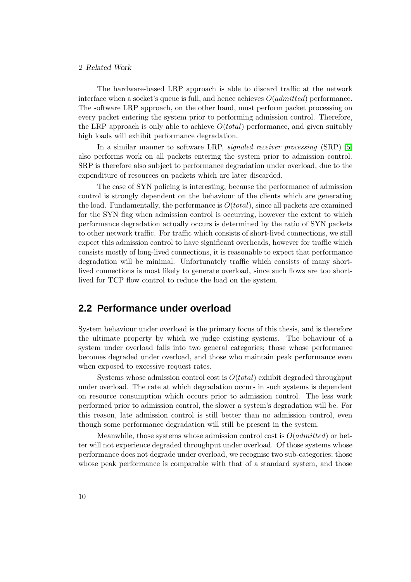#### 2 Related Work

The hardware-based LRP approach is able to discard traffic at the network interface when a socket's queue is full, and hence achieves  $O(admitted)$  performance. The software LRP approach, on the other hand, must perform packet processing on every packet entering the system prior to performing admission control. Therefore, the LRP approach is only able to achieve  $O(total)$  performance, and given suitably high loads will exhibit performance degradation.

In a similar manner to software LRP, *signaled receiver processing* (SRP) [\[5\]](#page-102-6) also performs work on all packets entering the system prior to admission control. SRP is therefore also subject to performance degradation under overload, due to the expenditure of resources on packets which are later discarded.

The case of SYN policing is interesting, because the performance of admission control is strongly dependent on the behaviour of the clients which are generating the load. Fundamentally, the performance is  $O(total)$ , since all packets are examined for the SYN flag when admission control is occurring, however the extent to which performance degradation actually occurs is determined by the ratio of SYN packets to other network traffic. For traffic which consists of short-lived connections, we still expect this admission control to have significant overheads, however for traffic which consists mostly of long-lived connections, it is reasonable to expect that performance degradation will be minimal. Unfortunately traffic which consists of many shortlived connections is most likely to generate overload, since such flows are too shortlived for TCP flow control to reduce the load on the system.

## <span id="page-27-0"></span>**2.2 Performance under overload**

System behaviour under overload is the primary focus of this thesis, and is therefore the ultimate property by which we judge existing systems. The behaviour of a system under overload falls into two general categories; those whose performance becomes degraded under overload, and those who maintain peak performance even when exposed to excessive request rates.

Systems whose admission control cost is  $O(total)$  exhibit degraded throughput under overload. The rate at which degradation occurs in such systems is dependent on resource consumption which occurs prior to admission control. The less work performed prior to admission control, the slower a system's degradation will be. For this reason, late admission control is still better than no admission control, even though some performance degradation will still be present in the system.

Meanwhile, those systems whose admission control cost is  $O(admitted)$  or better will not experience degraded throughput under overload. Of those systems whose performance does not degrade under overload, we recognise two sub-categories; those whose peak performance is comparable with that of a standard system, and those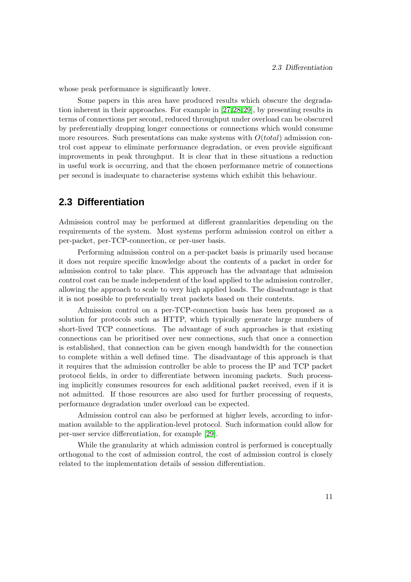whose peak performance is significantly lower.

Some papers in this area have produced results which obscure the degradation inherent in their approaches. For example in [\[27,](#page-104-7)[28](#page-104-8)[,29\]](#page-104-5), by presenting results in terms of connections per second, reduced throughput under overload can be obscured by preferentially dropping longer connections or connections which would consume more resources. Such presentations can make systems with  $O(total)$  admission control cost appear to eliminate performance degradation, or even provide significant improvements in peak throughput. It is clear that in these situations a reduction in useful work is occurring, and that the chosen performance metric of connections per second is inadequate to characterise systems which exhibit this behaviour.

## <span id="page-28-0"></span>**2.3 Differentiation**

Admission control may be performed at different granularities depending on the requirements of the system. Most systems perform admission control on either a per-packet, per-TCP-connection, or per-user basis.

Performing admission control on a per-packet basis is primarily used because it does not require specific knowledge about the contents of a packet in order for admission control to take place. This approach has the advantage that admission control cost can be made independent of the load applied to the admission controller, allowing the approach to scale to very high applied loads. The disadvantage is that it is not possible to preferentially treat packets based on their contents.

Admission control on a per-TCP-connection basis has been proposed as a solution for protocols such as HTTP, which typically generate large numbers of short-lived TCP connections. The advantage of such approaches is that existing connections can be prioritised over new connections, such that once a connection is established, that connection can be given enough bandwidth for the connection to complete within a well defined time. The disadvantage of this approach is that it requires that the admission controller be able to process the IP and TCP packet protocol fields, in order to differentiate between incoming packets. Such processing implicitly consumes resources for each additional packet received, even if it is not admitted. If those resources are also used for further processing of requests, performance degradation under overload can be expected.

Admission control can also be performed at higher levels, according to information available to the application-level protocol. Such information could allow for per-user service differentiation, for example [\[29\]](#page-104-5).

While the granularity at which admission control is performed is conceptually orthogonal to the cost of admission control, the cost of admission control is closely related to the implementation details of session differentiation.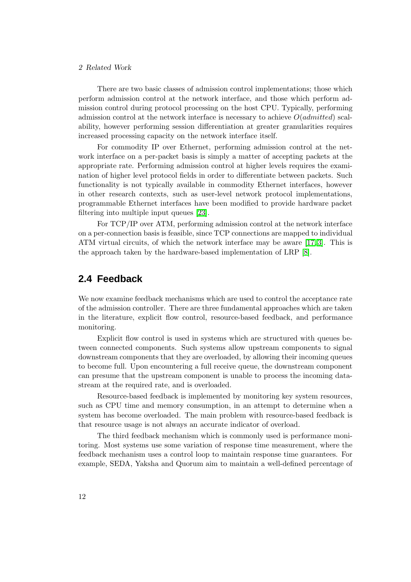#### 2 Related Work

There are two basic classes of admission control implementations; those which perform admission control at the network interface, and those which perform admission control during protocol processing on the host CPU. Typically, performing admission control at the network interface is necessary to achieve  $O(admitted)$  scalability, however performing session differentiation at greater granularities requires increased processing capacity on the network interface itself.

For commodity IP over Ethernet, performing admission control at the network interface on a per-packet basis is simply a matter of accepting packets at the appropriate rate. Performing admission control at higher levels requires the examination of higher level protocol fields in order to differentiate between packets. Such functionality is not typically available in commodity Ethernet interfaces, however in other research contexts, such as user-level network protocol implementations, programmable Ethernet interfaces have been modified to provide hardware packet filtering into multiple input queues [\[23\]](#page-104-9).

For TCP/IP over ATM, performing admission control at the network interface on a per-connection basis is feasible, since TCP connections are mapped to individual ATM virtual circuits, of which the network interface may be aware [\[17,](#page-103-3) [3\]](#page-102-7). This is the approach taken by the hardware-based implementation of LRP [\[8\]](#page-102-1).

## <span id="page-29-0"></span>**2.4 Feedback**

We now examine feedback mechanisms which are used to control the acceptance rate of the admission controller. There are three fundamental approaches which are taken in the literature, explicit flow control, resource-based feedback, and performance monitoring.

Explicit flow control is used in systems which are structured with queues between connected components. Such systems allow upstream components to signal downstream components that they are overloaded, by allowing their incoming queues to become full. Upon encountering a full receive queue, the downstream component can presume that the upstream component is unable to process the incoming datastream at the required rate, and is overloaded.

Resource-based feedback is implemented by monitoring key system resources, such as CPU time and memory consumption, in an attempt to determine when a system has become overloaded. The main problem with resource-based feedback is that resource usage is not always an accurate indicator of overload.

The third feedback mechanism which is commonly used is performance monitoring. Most systems use some variation of response time measurement, where the feedback mechanism uses a control loop to maintain response time guarantees. For example, SEDA, Yaksha and Quorum aim to maintain a well-defined percentage of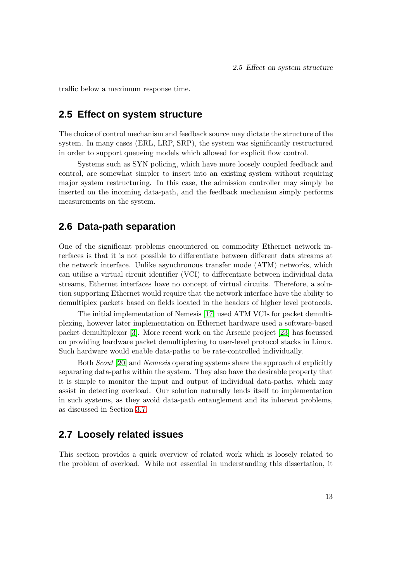<span id="page-30-0"></span>traffic below a maximum response time.

### **2.5 Effect on system structure**

The choice of control mechanism and feedback source may dictate the structure of the system. In many cases (ERL, LRP, SRP), the system was significantly restructured in order to support queueing models which allowed for explicit flow control.

Systems such as SYN policing, which have more loosely coupled feedback and control, are somewhat simpler to insert into an existing system without requiring major system restructuring. In this case, the admission controller may simply be inserted on the incoming data-path, and the feedback mechanism simply performs measurements on the system.

### <span id="page-30-1"></span>**2.6 Data-path separation**

One of the significant problems encountered on commodity Ethernet network interfaces is that it is not possible to differentiate between different data streams at the network interface. Unlike asynchronous transfer mode (ATM) networks, which can utilise a virtual circuit identifier (VCI) to differentiate between individual data streams, Ethernet interfaces have no concept of virtual circuits. Therefore, a solution supporting Ethernet would require that the network interface have the ability to demultiplex packets based on fields located in the headers of higher level protocols.

The initial implementation of Nemesis [\[17\]](#page-103-3) used ATM VCIs for packet demultiplexing, however later implementation on Ethernet hardware used a software-based packet demultiplexor [\[3\]](#page-102-7). More recent work on the Arsenic project [\[23\]](#page-104-9) has focussed on providing hardware packet demultiplexing to user-level protocol stacks in Linux. Such hardware would enable data-paths to be rate-controlled individually.

Both Scout [\[20\]](#page-103-4) and Nemesis operating systems share the approach of explicitly separating data-paths within the system. They also have the desirable property that it is simple to monitor the input and output of individual data-paths, which may assist in detecting overload. Our solution naturally lends itself to implementation in such systems, as they avoid data-path entanglement and its inherent problems, as discussed in Section [3.7.](#page-42-0)

## <span id="page-30-2"></span>**2.7 Loosely related issues**

This section provides a quick overview of related work which is loosely related to the problem of overload. While not essential in understanding this dissertation, it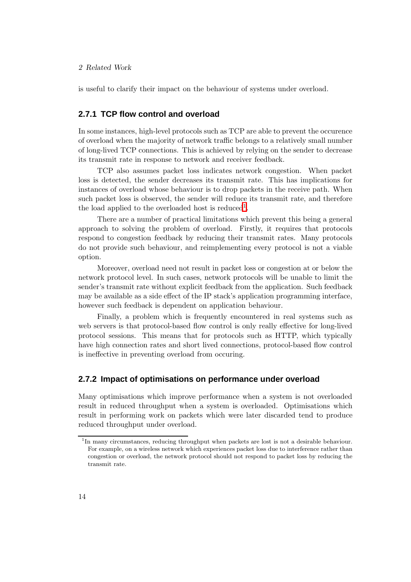#### 2 Related Work

is useful to clarify their impact on the behaviour of systems under overload.

#### <span id="page-31-0"></span>**2.7.1 TCP flow control and overload**

In some instances, high-level protocols such as TCP are able to prevent the occurence of overload when the majority of network traffic belongs to a relatively small number of long-lived TCP connections. This is achieved by relying on the sender to decrease its transmit rate in response to network and receiver feedback.

TCP also assumes packet loss indicates network congestion. When packet loss is detected, the sender decreases its transmit rate. This has implications for instances of overload whose behaviour is to drop packets in the receive path. When such packet loss is observed, the sender will reduce its transmit rate, and therefore the load applied to the overloaded host is reduced<sup>[1](#page-31-2)</sup>.

There are a number of practical limitations which prevent this being a general approach to solving the problem of overload. Firstly, it requires that protocols respond to congestion feedback by reducing their transmit rates. Many protocols do not provide such behaviour, and reimplementing every protocol is not a viable option.

Moreover, overload need not result in packet loss or congestion at or below the network protocol level. In such cases, network protocols will be unable to limit the sender's transmit rate without explicit feedback from the application. Such feedback may be available as a side effect of the IP stack's application programming interface, however such feedback is dependent on application behaviour.

Finally, a problem which is frequently encountered in real systems such as web servers is that protocol-based flow control is only really effective for long-lived protocol sessions. This means that for protocols such as HTTP, which typically have high connection rates and short lived connections, protocol-based flow control is ineffective in preventing overload from occuring.

#### <span id="page-31-1"></span>**2.7.2 Impact of optimisations on performance under overload**

Many optimisations which improve performance when a system is not overloaded result in reduced throughput when a system is overloaded. Optimisations which result in performing work on packets which were later discarded tend to produce reduced throughput under overload.

<span id="page-31-2"></span><sup>&</sup>lt;sup>1</sup>In many circumstances, reducing throughput when packets are lost is not a desirable behaviour. For example, on a wireless network which experiences packet loss due to interference rather than congestion or overload, the network protocol should not respond to packet loss by reducing the transmit rate.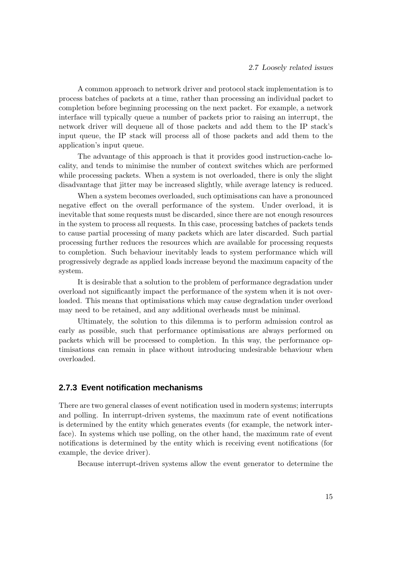A common approach to network driver and protocol stack implementation is to process batches of packets at a time, rather than processing an individual packet to completion before beginning processing on the next packet. For example, a network interface will typically queue a number of packets prior to raising an interrupt, the network driver will dequeue all of those packets and add them to the IP stack's input queue, the IP stack will process all of those packets and add them to the application's input queue.

The advantage of this approach is that it provides good instruction-cache locality, and tends to minimise the number of context switches which are performed while processing packets. When a system is not overloaded, there is only the slight disadvantage that jitter may be increased slightly, while average latency is reduced.

When a system becomes overloaded, such optimisations can have a pronounced negative effect on the overall performance of the system. Under overload, it is inevitable that some requests must be discarded, since there are not enough resources in the system to process all requests. In this case, processing batches of packets tends to cause partial processing of many packets which are later discarded. Such partial processing further reduces the resources which are available for processing requests to completion. Such behaviour inevitably leads to system performance which will progressively degrade as applied loads increase beyond the maximum capacity of the system.

It is desirable that a solution to the problem of performance degradation under overload not significantly impact the performance of the system when it is not overloaded. This means that optimisations which may cause degradation under overload may need to be retained, and any additional overheads must be minimal.

Ultimately, the solution to this dilemma is to perform admission control as early as possible, such that performance optimisations are always performed on packets which will be processed to completion. In this way, the performance optimisations can remain in place without introducing undesirable behaviour when overloaded.

#### <span id="page-32-0"></span>**2.7.3 Event notification mechanisms**

There are two general classes of event notification used in modern systems; interrupts and polling. In interrupt-driven systems, the maximum rate of event notifications is determined by the entity which generates events (for example, the network interface). In systems which use polling, on the other hand, the maximum rate of event notifications is determined by the entity which is receiving event notifications (for example, the device driver).

Because interrupt-driven systems allow the event generator to determine the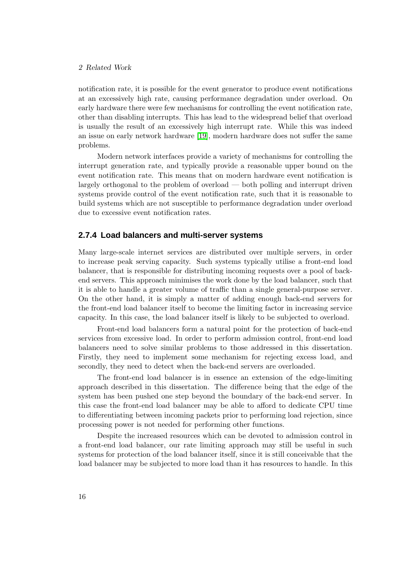#### 2 Related Work

notification rate, it is possible for the event generator to produce event notifications at an excessively high rate, causing performance degradation under overload. On early hardware there were few mechanisms for controlling the event notification rate, other than disabling interrupts. This has lead to the widespread belief that overload is usually the result of an excessively high interrupt rate. While this was indeed an issue on early network hardware [\[19\]](#page-103-0), modern hardware does not suffer the same problems.

Modern network interfaces provide a variety of mechanisms for controlling the interrupt generation rate, and typically provide a reasonable upper bound on the event notification rate. This means that on modern hardware event notification is largely orthogonal to the problem of overload — both polling and interrupt driven systems provide control of the event notification rate, such that it is reasonable to build systems which are not susceptible to performance degradation under overload due to excessive event notification rates.

#### <span id="page-33-0"></span>**2.7.4 Load balancers and multi-server systems**

Many large-scale internet services are distributed over multiple servers, in order to increase peak serving capacity. Such systems typically utilise a front-end load balancer, that is responsible for distributing incoming requests over a pool of backend servers. This approach minimises the work done by the load balancer, such that it is able to handle a greater volume of traffic than a single general-purpose server. On the other hand, it is simply a matter of adding enough back-end servers for the front-end load balancer itself to become the limiting factor in increasing service capacity. In this case, the load balancer itself is likely to be subjected to overload.

Front-end load balancers form a natural point for the protection of back-end services from excessive load. In order to perform admission control, front-end load balancers need to solve similar problems to those addressed in this dissertation. Firstly, they need to implement some mechanism for rejecting excess load, and secondly, they need to detect when the back-end servers are overloaded.

The front-end load balancer is in essence an extension of the edge-limiting approach described in this dissertation. The difference being that the edge of the system has been pushed one step beyond the boundary of the back-end server. In this case the front-end load balancer may be able to afford to dedicate CPU time to differentiating between incoming packets prior to performing load rejection, since processing power is not needed for performing other functions.

Despite the increased resources which can be devoted to admission control in a front-end load balancer, our rate limiting approach may still be useful in such systems for protection of the load balancer itself, since it is still conceivable that the load balancer may be subjected to more load than it has resources to handle. In this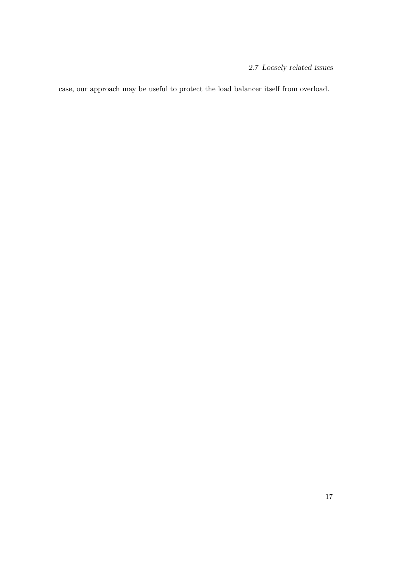2.7 Loosely related issues

case, our approach may be useful to protect the load balancer itself from overload.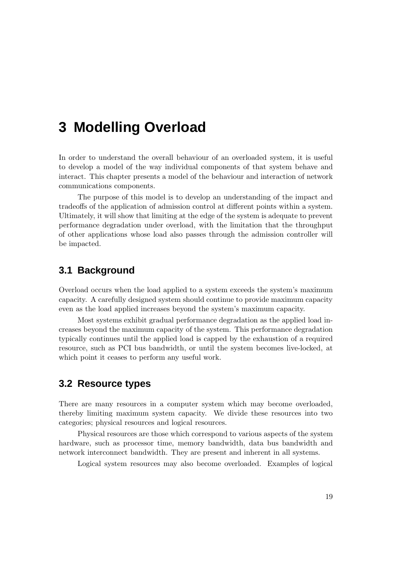# <span id="page-36-0"></span>**3 Modelling Overload**

In order to understand the overall behaviour of an overloaded system, it is useful to develop a model of the way individual components of that system behave and interact. This chapter presents a model of the behaviour and interaction of network communications components.

The purpose of this model is to develop an understanding of the impact and tradeoffs of the application of admission control at different points within a system. Ultimately, it will show that limiting at the edge of the system is adequate to prevent performance degradation under overload, with the limitation that the throughput of other applications whose load also passes through the admission controller will be impacted.

## **3.1 Background**

Overload occurs when the load applied to a system exceeds the system's maximum capacity. A carefully designed system should continue to provide maximum capacity even as the load applied increases beyond the system's maximum capacity.

Most systems exhibit gradual performance degradation as the applied load increases beyond the maximum capacity of the system. This performance degradation typically continues until the applied load is capped by the exhaustion of a required resource, such as PCI bus bandwidth, or until the system becomes live-locked, at which point it ceases to perform any useful work.

## **3.2 Resource types**

There are many resources in a computer system which may become overloaded, thereby limiting maximum system capacity. We divide these resources into two categories; physical resources and logical resources.

Physical resources are those which correspond to various aspects of the system hardware, such as processor time, memory bandwidth, data bus bandwidth and network interconnect bandwidth. They are present and inherent in all systems.

Logical system resources may also become overloaded. Examples of logical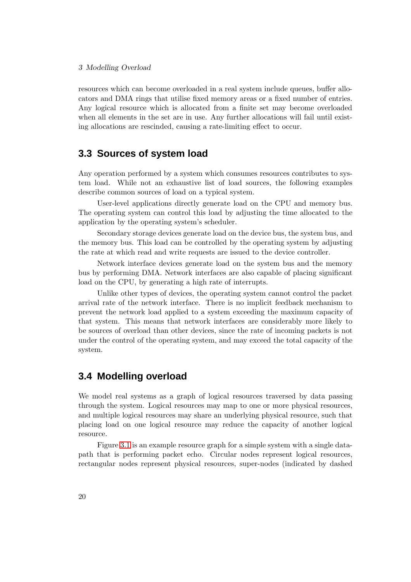#### 3 Modelling Overload

resources which can become overloaded in a real system include queues, buffer allocators and DMA rings that utilise fixed memory areas or a fixed number of entries. Any logical resource which is allocated from a finite set may become overloaded when all elements in the set are in use. Any further allocations will fail until existing allocations are rescinded, causing a rate-limiting effect to occur.

## **3.3 Sources of system load**

Any operation performed by a system which consumes resources contributes to system load. While not an exhaustive list of load sources, the following examples describe common sources of load on a typical system.

User-level applications directly generate load on the CPU and memory bus. The operating system can control this load by adjusting the time allocated to the application by the operating system's scheduler.

Secondary storage devices generate load on the device bus, the system bus, and the memory bus. This load can be controlled by the operating system by adjusting the rate at which read and write requests are issued to the device controller.

Network interface devices generate load on the system bus and the memory bus by performing DMA. Network interfaces are also capable of placing significant load on the CPU, by generating a high rate of interrupts.

Unlike other types of devices, the operating system cannot control the packet arrival rate of the network interface. There is no implicit feedback mechanism to prevent the network load applied to a system exceeding the maximum capacity of that system. This means that network interfaces are considerably more likely to be sources of overload than other devices, since the rate of incoming packets is not under the control of the operating system, and may exceed the total capacity of the system.

# **3.4 Modelling overload**

We model real systems as a graph of logical resources traversed by data passing through the system. Logical resources may map to one or more physical resources, and multiple logical resources may share an underlying physical resource, such that placing load on one logical resource may reduce the capacity of another logical resource.

Figure [3.1](#page-38-0) is an example resource graph for a simple system with a single datapath that is performing packet echo. Circular nodes represent logical resources, rectangular nodes represent physical resources, super-nodes (indicated by dashed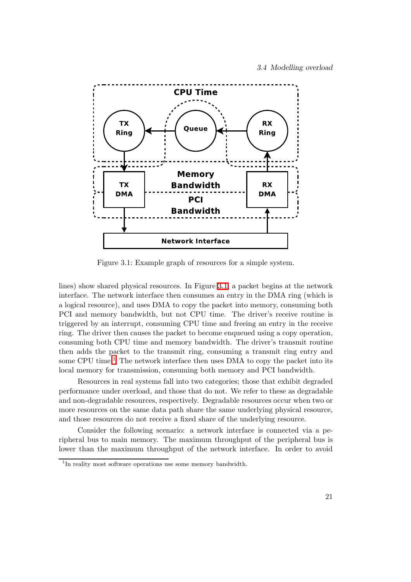

<span id="page-38-0"></span>Figure 3.1: Example graph of resources for a simple system.

lines) show shared physical resources. In Figure [3.1,](#page-38-0) a packet begins at the network interface. The network interface then consumes an entry in the DMA ring (which is a logical resource), and uses DMA to copy the packet into memory, consuming both PCI and memory bandwidth, but not CPU time. The driver's receive routine is triggered by an interrupt, consuming CPU time and freeing an entry in the receive ring. The driver then causes the packet to become enqueued using a copy operation, consuming both CPU time and memory bandwidth. The driver's transmit routine then adds the packet to the transmit ring, consuming a transmit ring entry and some CPU time.<sup>[1](#page-38-1)</sup> The network interface then uses DMA to copy the packet into its local memory for transmission, consuming both memory and PCI bandwidth.

Resources in real systems fall into two categories; those that exhibit degraded performance under overload, and those that do not. We refer to these as degradable and non-degradable resources, respectively. Degradable resources occur when two or more resources on the same data path share the same underlying physical resource, and those resources do not receive a fixed share of the underlying resource.

Consider the following scenario: a network interface is connected via a peripheral bus to main memory. The maximum throughput of the peripheral bus is lower than the maximum throughput of the network interface. In order to avoid

<span id="page-38-1"></span><sup>&</sup>lt;sup>1</sup>In reality most software operations use some memory bandwidth.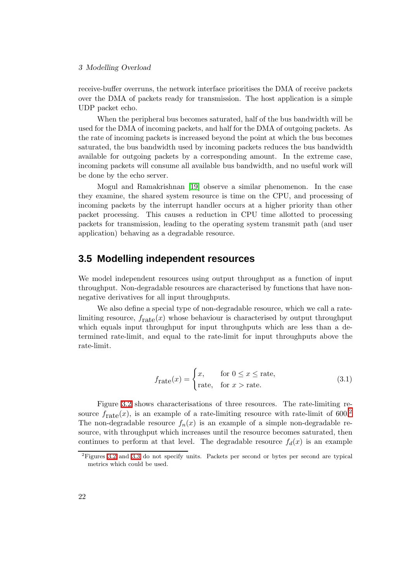### 3 Modelling Overload

receive-buffer overruns, the network interface prioritises the DMA of receive packets over the DMA of packets ready for transmission. The host application is a simple UDP packet echo.

When the peripheral bus becomes saturated, half of the bus bandwidth will be used for the DMA of incoming packets, and half for the DMA of outgoing packets. As the rate of incoming packets is increased beyond the point at which the bus becomes saturated, the bus bandwidth used by incoming packets reduces the bus bandwidth available for outgoing packets by a corresponding amount. In the extreme case, incoming packets will consume all available bus bandwidth, and no useful work will be done by the echo server.

Mogul and Ramakrishnan [\[19\]](#page-103-0) observe a similar phenomenon. In the case they examine, the shared system resource is time on the CPU, and processing of incoming packets by the interrupt handler occurs at a higher priority than other packet processing. This causes a reduction in CPU time allotted to processing packets for transmission, leading to the operating system transmit path (and user application) behaving as a degradable resource.

## **3.5 Modelling independent resources**

We model independent resources using output throughput as a function of input throughput. Non-degradable resources are characterised by functions that have nonnegative derivatives for all input throughputs.

We also define a special type of non-degradable resource, which we call a ratelimiting resource,  $f_{\text{rate}}(x)$  whose behaviour is characterised by output throughput which equals input throughput for input throughputs which are less than a determined rate-limit, and equal to the rate-limit for input throughputs above the rate-limit.

$$
f_{\text{rate}}(x) = \begin{cases} x, & \text{for } 0 \le x \le \text{rate}, \\ \text{rate}, & \text{for } x > \text{rate}. \end{cases}
$$
 (3.1)

Figure [3.2](#page-40-0) shows characterisations of three resources. The rate-limiting resource  $f_{\text{rate}}(x)$ , is an example of a rate-limiting resource with rate-limit of 600.<sup>[2](#page-39-0)</sup> The non-degradable resource  $f_n(x)$  is an example of a simple non-degradable resource, with throughput which increases until the resource becomes saturated, then continues to perform at that level. The degradable resource  $f_d(x)$  is an example

<span id="page-39-0"></span><sup>2</sup>Figures [3.2](#page-40-0) and [3.3](#page-41-0) do not specify units. Packets per second or bytes per second are typical metrics which could be used.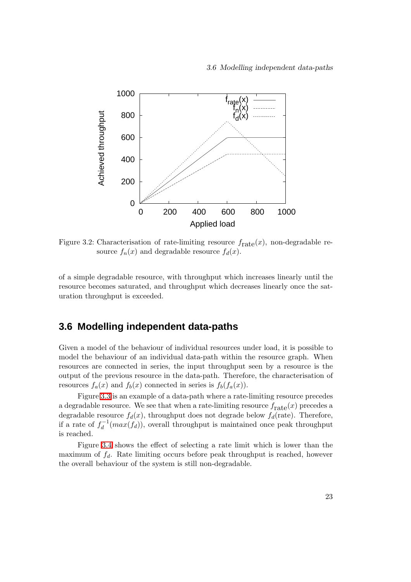

<span id="page-40-0"></span>Figure 3.2: Characterisation of rate-limiting resource  $f_{\text{rate}}(x)$ , non-degradable resource  $f_n(x)$  and degradable resource  $f_d(x)$ .

of a simple degradable resource, with throughput which increases linearly until the resource becomes saturated, and throughput which decreases linearly once the saturation throughput is exceeded.

## <span id="page-40-1"></span>**3.6 Modelling independent data-paths**

Given a model of the behaviour of individual resources under load, it is possible to model the behaviour of an individual data-path within the resource graph. When resources are connected in series, the input throughput seen by a resource is the output of the previous resource in the data-path. Therefore, the characterisation of resources  $f_a(x)$  and  $f_b(x)$  connected in series is  $f_b(f_a(x))$ .

Figure [3.3](#page-41-0) is an example of a data-path where a rate-limiting resource precedes a degradable resource. We see that when a rate-limiting resource  $f_{\text{rate}}(x)$  precedes a degradable resource  $f_d(x)$ , throughput does not degrade below  $f_d(\text{rate})$ . Therefore, if a rate of  $f_d^{-1}$  $d_d^{-1}(max(f_d))$ , overall throughput is maintained once peak throughput is reached.

Figure [3.4](#page-41-1) shows the effect of selecting a rate limit which is lower than the maximum of  $f_d$ . Rate limiting occurs before peak throughput is reached, however the overall behaviour of the system is still non-degradable.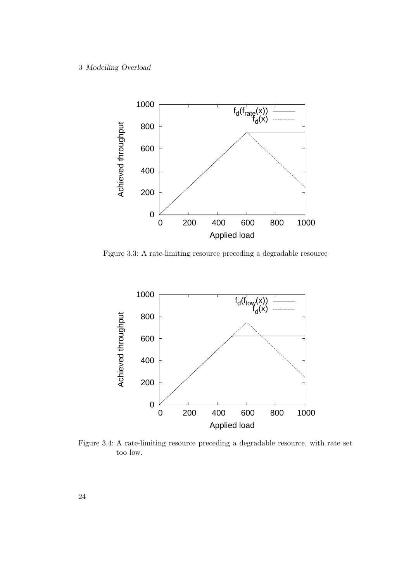

<span id="page-41-0"></span>Figure 3.3: A rate-limiting resource preceding a degradable resource



<span id="page-41-1"></span>Figure 3.4: A rate-limiting resource preceding a degradable resource, with rate set too low.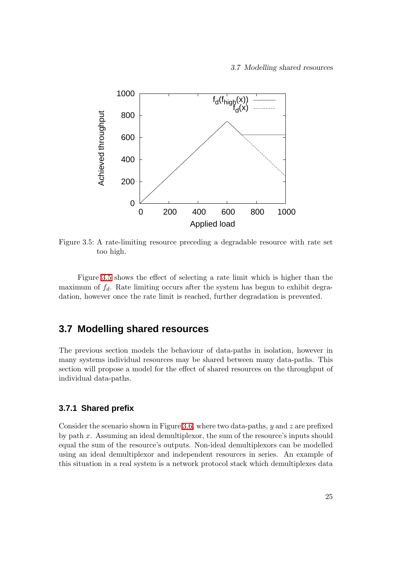

<span id="page-42-0"></span>Figure 3.5: A rate-limiting resource preceding a degradable resource with rate set too high.

Figure [3.5](#page-42-0) shows the effect of selecting a rate limit which is higher than the maximum of  $f_d$ . Rate limiting occurs after the system has begun to exhibit degradation, however once the rate limit is reached, further degradation is prevented.

## <span id="page-42-1"></span>**3.7 Modelling shared resources**

The previous section models the behaviour of data-paths in isolation, however in many systems individual resources may be shared between many data-paths. This section will propose a model for the effect of shared resources on the throughput of individual data-paths.

## **3.7.1 Shared prefix**

Consider the scenario shown in Figure [3.6,](#page-43-0) where two data-paths,  $y$  and  $z$  are prefixed by path x. Assuming an ideal demultiplexor, the sum of the resource's inputs should equal the sum of the resource's outputs. Non-ideal demultiplexors can be modelled using an ideal demultiplexor and independent resources in series. An example of this situation in a real system is a network protocol stack which demultiplexes data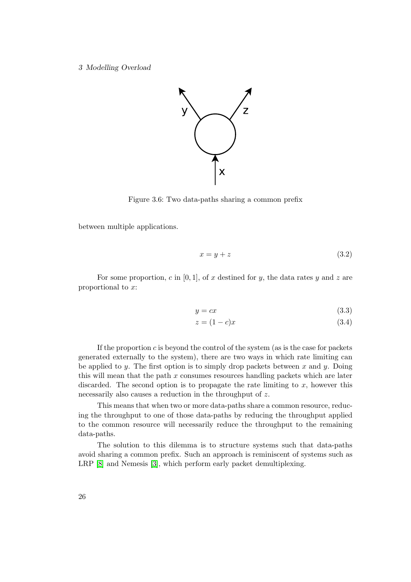3 Modelling Overload



<span id="page-43-0"></span>Figure 3.6: Two data-paths sharing a common prefix

between multiple applications.

$$
x = y + z \tag{3.2}
$$

For some proportion, c in [0, 1], of x destined for y, the data rates y and z are proportional to x:

$$
y = cx \tag{3.3}
$$

$$
z = (1 - c)x \tag{3.4}
$$

If the proportion  $c$  is beyond the control of the system (as is the case for packets generated externally to the system), there are two ways in which rate limiting can be applied to y. The first option is to simply drop packets between x and y. Doing this will mean that the path  $x$  consumes resources handling packets which are later discarded. The second option is to propagate the rate limiting to  $x$ , however this necessarily also causes a reduction in the throughput of z.

This means that when two or more data-paths share a common resource, reducing the throughput to one of those data-paths by reducing the throughput applied to the common resource will necessarily reduce the throughput to the remaining data-paths.

The solution to this dilemma is to structure systems such that data-paths avoid sharing a common prefix. Such an approach is reminiscent of systems such as LRP [\[8\]](#page-102-0) and Nemesis [\[3\]](#page-102-1), which perform early packet demultiplexing.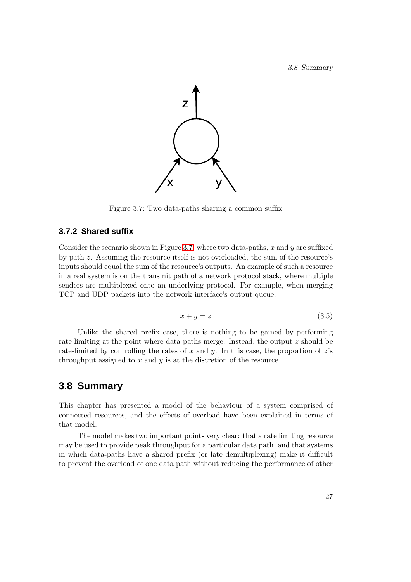3.8 Summary



<span id="page-44-0"></span>Figure 3.7: Two data-paths sharing a common suffix

### **3.7.2 Shared suffix**

Consider the scenario shown in Figure [3.7,](#page-44-0) where two data-paths, x and  $y$  are suffixed by path z. Assuming the resource itself is not overloaded, the sum of the resource's inputs should equal the sum of the resource's outputs. An example of such a resource in a real system is on the transmit path of a network protocol stack, where multiple senders are multiplexed onto an underlying protocol. For example, when merging TCP and UDP packets into the network interface's output queue.

$$
x + y = z \tag{3.5}
$$

Unlike the shared prefix case, there is nothing to be gained by performing rate limiting at the point where data paths merge. Instead, the output z should be rate-limited by controlling the rates of x and y. In this case, the proportion of  $z$ 's throughput assigned to  $x$  and  $y$  is at the discretion of the resource.

## **3.8 Summary**

This chapter has presented a model of the behaviour of a system comprised of connected resources, and the effects of overload have been explained in terms of that model.

The model makes two important points very clear: that a rate limiting resource may be used to provide peak throughput for a particular data path, and that systems in which data-paths have a shared prefix (or late demultiplexing) make it difficult to prevent the overload of one data path without reducing the performance of other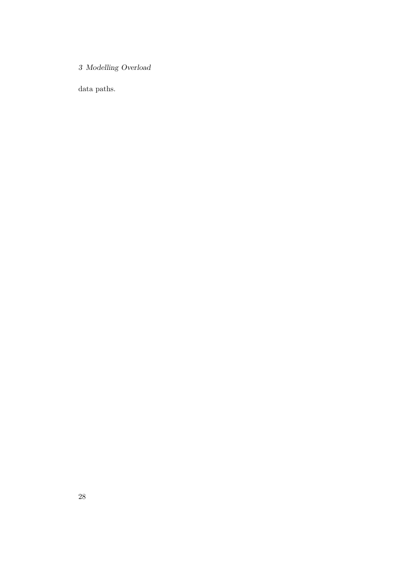3 Modelling Overload

data paths.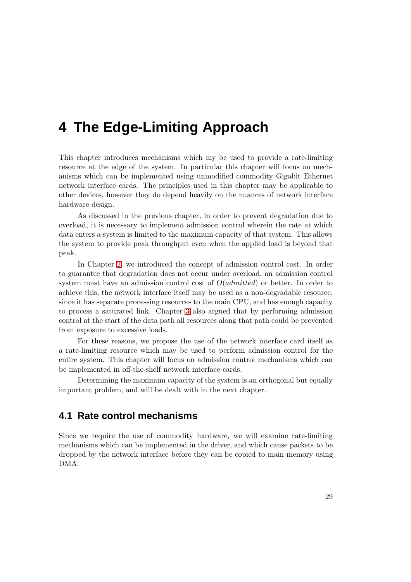# **4 The Edge-Limiting Approach**

This chapter introduces mechanisms which my be used to provide a rate-limiting resource at the edge of the system. In particular this chapter will focus on mechanisms which can be implemented using unmodified commodity Gigabit Ethernet network interface cards. The principles used in this chapter may be applicable to other devices, however they do depend heavily on the nuances of network interface hardware design.

As discussed in the previous chapter, in order to prevent degradation due to overload, it is necessary to implement admission control wherein the rate at which data enters a system is limited to the maximum capacity of that system. This allows the system to provide peak throughput even when the applied load is beyond that peak.

In Chapter [2,](#page-24-0) we introduced the concept of admission control cost. In order to guarantee that degradation does not occur under overload, an admission control system must have an admission control cost of  $O(admitted)$  or better. In order to achieve this, the network interface itself may be used as a non-degradable resource, since it has separate processing resources to the main CPU, and has enough capacity to process a saturated link. Chapter [3](#page-36-0) also argued that by performing admission control at the start of the data path all resources along that path could be prevented from exposure to excessive loads.

For these reasons, we propose the use of the network interface card itself as a rate-limiting resource which may be used to perform admission control for the entire system. This chapter will focus on admission control mechanisms which can be implemented in off-the-shelf network interface cards.

Determining the maximum capacity of the system is an orthogonal but equally important problem, and will be dealt with in the next chapter.

## **4.1 Rate control mechanisms**

Since we require the use of commodity hardware, we will examine rate-limiting mechanisms which can be implemented in the driver, and which cause packets to be dropped by the network interface before they can be copied to main memory using DMA.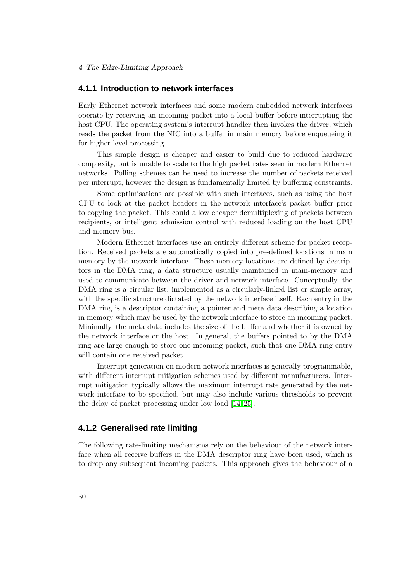### 4 The Edge-Limiting Approach

### **4.1.1 Introduction to network interfaces**

Early Ethernet network interfaces and some modern embedded network interfaces operate by receiving an incoming packet into a local buffer before interrupting the host CPU. The operating system's interrupt handler then invokes the driver, which reads the packet from the NIC into a buffer in main memory before enqueueing it for higher level processing.

This simple design is cheaper and easier to build due to reduced hardware complexity, but is unable to scale to the high packet rates seen in modern Ethernet networks. Polling schemes can be used to increase the number of packets received per interrupt, however the design is fundamentally limited by buffering constraints.

Some optimisations are possible with such interfaces, such as using the host CPU to look at the packet headers in the network interface's packet buffer prior to copying the packet. This could allow cheaper demultiplexing of packets between recipients, or intelligent admission control with reduced loading on the host CPU and memory bus.

Modern Ethernet interfaces use an entirely different scheme for packet reception. Received packets are automatically copied into pre-defined locations in main memory by the network interface. These memory locations are defined by descriptors in the DMA ring, a data structure usually maintained in main-memory and used to communicate between the driver and network interface. Conceptually, the DMA ring is a circular list, implemented as a circularly-linked list or simple array, with the specific structure dictated by the network interface itself. Each entry in the DMA ring is a descriptor containing a pointer and meta data describing a location in memory which may be used by the network interface to store an incoming packet. Minimally, the meta data includes the size of the buffer and whether it is owned by the network interface or the host. In general, the buffers pointed to by the DMA ring are large enough to store one incoming packet, such that one DMA ring entry will contain one received packet.

Interrupt generation on modern network interfaces is generally programmable, with different interrupt mitigation schemes used by different manufacturers. Interrupt mitigation typically allows the maximum interrupt rate generated by the network interface to be specified, but may also include various thresholds to prevent the delay of packet processing under low load [\[14,](#page-103-1) [25\]](#page-104-0).

## **4.1.2 Generalised rate limiting**

The following rate-limiting mechanisms rely on the behaviour of the network interface when all receive buffers in the DMA descriptor ring have been used, which is to drop any subsequent incoming packets. This approach gives the behaviour of a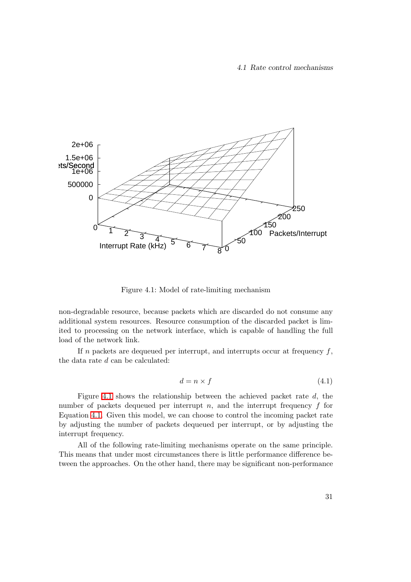

<span id="page-48-0"></span>Figure 4.1: Model of rate-limiting mechanism

non-degradable resource, because packets which are discarded do not consume any additional system resources. Resource consumption of the discarded packet is limited to processing on the network interface, which is capable of handling the full load of the network link.

<span id="page-48-1"></span>If n packets are dequeued per interrupt, and interrupts occur at frequency  $f$ , the data rate d can be calculated:

$$
d = n \times f \tag{4.1}
$$

Figure [4.1](#page-48-0) shows the relationship between the achieved packet rate d, the number of packets dequeued per interrupt  $n$ , and the interrupt frequency  $f$  for Equation [4.1.](#page-48-1) Given this model, we can choose to control the incoming packet rate by adjusting the number of packets dequeued per interrupt, or by adjusting the interrupt frequency.

All of the following rate-limiting mechanisms operate on the same principle. This means that under most circumstances there is little performance difference between the approaches. On the other hand, there may be significant non-performance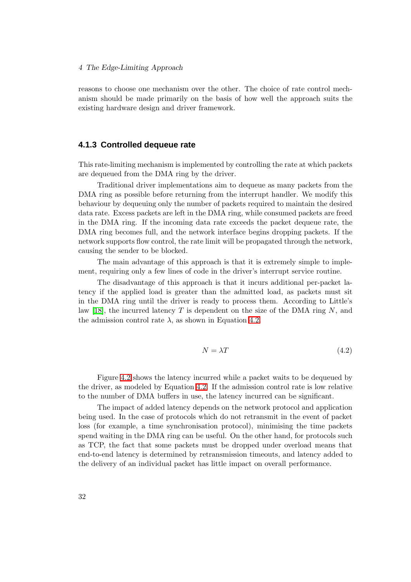#### 4 The Edge-Limiting Approach

reasons to choose one mechanism over the other. The choice of rate control mechanism should be made primarily on the basis of how well the approach suits the existing hardware design and driver framework.

### <span id="page-49-1"></span>**4.1.3 Controlled dequeue rate**

This rate-limiting mechanism is implemented by controlling the rate at which packets are dequeued from the DMA ring by the driver.

Traditional driver implementations aim to dequeue as many packets from the DMA ring as possible before returning from the interrupt handler. We modify this behaviour by dequeuing only the number of packets required to maintain the desired data rate. Excess packets are left in the DMA ring, while consumed packets are freed in the DMA ring. If the incoming data rate exceeds the packet dequeue rate, the DMA ring becomes full, and the network interface begins dropping packets. If the network supports flow control, the rate limit will be propagated through the network, causing the sender to be blocked.

The main advantage of this approach is that it is extremely simple to implement, requiring only a few lines of code in the driver's interrupt service routine.

<span id="page-49-0"></span>The disadvantage of this approach is that it incurs additional per-packet latency if the applied load is greater than the admitted load, as packets must sit in the DMA ring until the driver is ready to process them. According to Little's law [\[18\]](#page-103-2), the incurred latency T is dependent on the size of the DMA ring N, and the admission control rate  $\lambda$ , as shown in Equation [4.2.](#page-49-0)

$$
N = \lambda T \tag{4.2}
$$

Figure [4.2](#page-50-0) shows the latency incurred while a packet waits to be dequeued by the driver, as modeled by Equation [4.2.](#page-49-0) If the admission control rate is low relative to the number of DMA buffers in use, the latency incurred can be significant.

The impact of added latency depends on the network protocol and application being used. In the case of protocols which do not retransmit in the event of packet loss (for example, a time synchronisation protocol), minimising the time packets spend waiting in the DMA ring can be useful. On the other hand, for protocols such as TCP, the fact that some packets must be dropped under overload means that end-to-end latency is determined by retransmission timeouts, and latency added to the delivery of an individual packet has little impact on overall performance.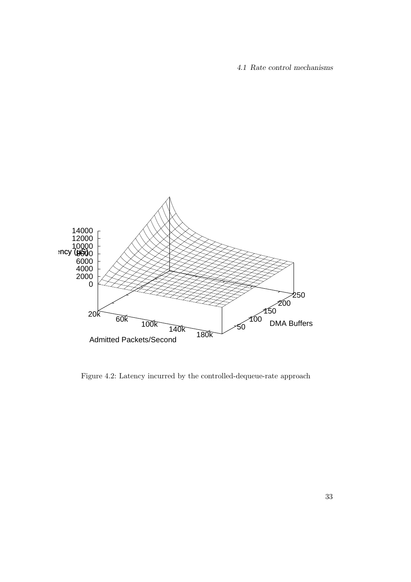4.1 Rate control mechanisms



<span id="page-50-0"></span>Figure 4.2: Latency incurred by the controlled-dequeue-rate approach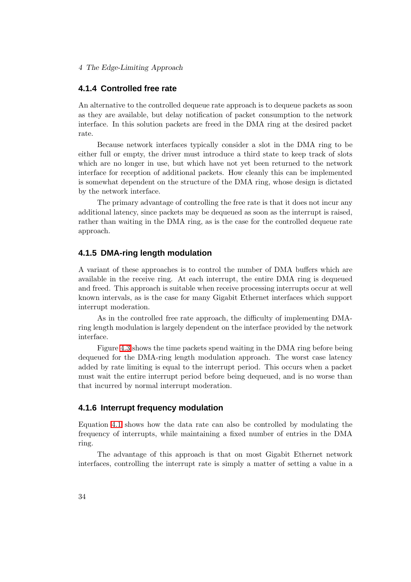4 The Edge-Limiting Approach

## **4.1.4 Controlled free rate**

An alternative to the controlled dequeue rate approach is to dequeue packets as soon as they are available, but delay notification of packet consumption to the network interface. In this solution packets are freed in the DMA ring at the desired packet rate.

Because network interfaces typically consider a slot in the DMA ring to be either full or empty, the driver must introduce a third state to keep track of slots which are no longer in use, but which have not yet been returned to the network interface for reception of additional packets. How cleanly this can be implemented is somewhat dependent on the structure of the DMA ring, whose design is dictated by the network interface.

The primary advantage of controlling the free rate is that it does not incur any additional latency, since packets may be dequeued as soon as the interrupt is raised, rather than waiting in the DMA ring, as is the case for the controlled dequeue rate approach.

### **4.1.5 DMA-ring length modulation**

A variant of these approaches is to control the number of DMA buffers which are available in the receive ring. At each interrupt, the entire DMA ring is dequeued and freed. This approach is suitable when receive processing interrupts occur at well known intervals, as is the case for many Gigabit Ethernet interfaces which support interrupt moderation.

As in the controlled free rate approach, the difficulty of implementing DMAring length modulation is largely dependent on the interface provided by the network interface.

Figure [4.3](#page-52-0) shows the time packets spend waiting in the DMA ring before being dequeued for the DMA-ring length modulation approach. The worst case latency added by rate limiting is equal to the interrupt period. This occurs when a packet must wait the entire interrupt period before being dequeued, and is no worse than that incurred by normal interrupt moderation.

## **4.1.6 Interrupt frequency modulation**

Equation [4.1](#page-48-1) shows how the data rate can also be controlled by modulating the frequency of interrupts, while maintaining a fixed number of entries in the DMA ring.

The advantage of this approach is that on most Gigabit Ethernet network interfaces, controlling the interrupt rate is simply a matter of setting a value in a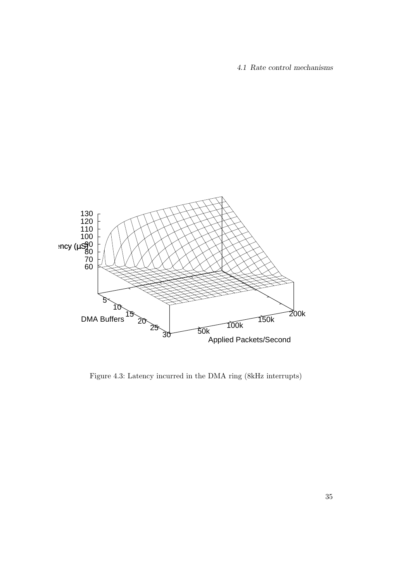4.1 Rate control mechanisms



<span id="page-52-0"></span>Figure 4.3: Latency incurred in the DMA ring (8kHz interrupts)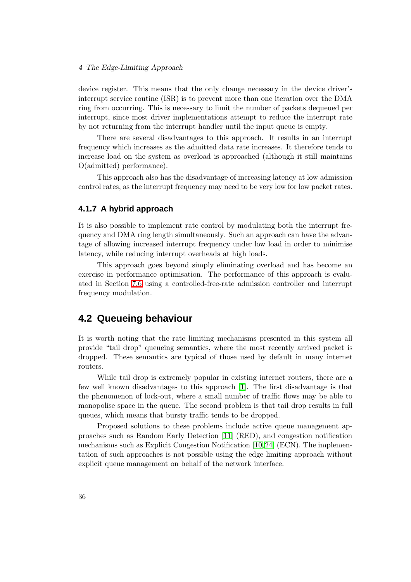#### 4 The Edge-Limiting Approach

device register. This means that the only change necessary in the device driver's interrupt service routine (ISR) is to prevent more than one iteration over the DMA ring from occurring. This is necessary to limit the number of packets dequeued per interrupt, since most driver implementations attempt to reduce the interrupt rate by not returning from the interrupt handler until the input queue is empty.

There are several disadvantages to this approach. It results in an interrupt frequency which increases as the admitted data rate increases. It therefore tends to increase load on the system as overload is approached (although it still maintains O(admitted) performance).

This approach also has the disadvantage of increasing latency at low admission control rates, as the interrupt frequency may need to be very low for low packet rates.

### **4.1.7 A hybrid approach**

It is also possible to implement rate control by modulating both the interrupt frequency and DMA ring length simultaneously. Such an approach can have the advantage of allowing increased interrupt frequency under low load in order to minimise latency, while reducing interrupt overheads at high loads.

This approach goes beyond simply eliminating overload and has become an exercise in performance optimisation. The performance of this approach is evaluated in Section [7.6](#page-85-0) using a controlled-free-rate admission controller and interrupt frequency modulation.

## **4.2 Queueing behaviour**

It is worth noting that the rate limiting mechanisms presented in this system all provide "tail drop" queueing semantics, where the most recently arrived packet is dropped. These semantics are typical of those used by default in many internet routers.

While tail drop is extremely popular in existing internet routers, there are a few well known disadvantages to this approach [\[1\]](#page-102-2). The first disadvantage is that the phenomenon of lock-out, where a small number of traffic flows may be able to monopolise space in the queue. The second problem is that tail drop results in full queues, which means that bursty traffic tends to be dropped.

Proposed solutions to these problems include active queue management approaches such as Random Early Detection [\[11\]](#page-103-3) (RED), and congestion notification mechanisms such as Explicit Congestion Notification [\[10,](#page-103-4)[24\]](#page-104-1) (ECN). The implementation of such approaches is not possible using the edge limiting approach without explicit queue management on behalf of the network interface.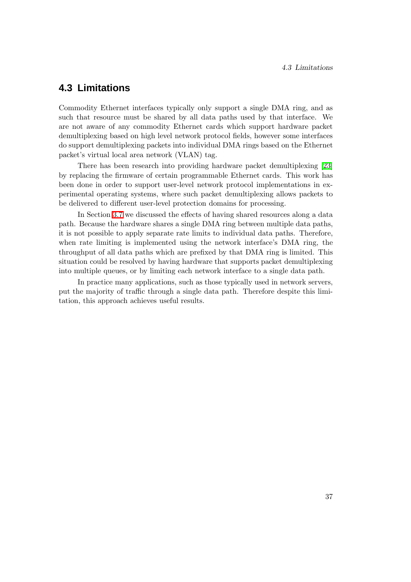# **4.3 Limitations**

Commodity Ethernet interfaces typically only support a single DMA ring, and as such that resource must be shared by all data paths used by that interface. We are not aware of any commodity Ethernet cards which support hardware packet demultiplexing based on high level network protocol fields, however some interfaces do support demultiplexing packets into individual DMA rings based on the Ethernet packet's virtual local area network (VLAN) tag.

There has been research into providing hardware packet demultiplexing [\[23\]](#page-104-2) by replacing the firmware of certain programmable Ethernet cards. This work has been done in order to support user-level network protocol implementations in experimental operating systems, where such packet demultiplexing allows packets to be delivered to different user-level protection domains for processing.

In Section [3.7](#page-42-1) we discussed the effects of having shared resources along a data path. Because the hardware shares a single DMA ring between multiple data paths, it is not possible to apply separate rate limits to individual data paths. Therefore, when rate limiting is implemented using the network interface's DMA ring, the throughput of all data paths which are prefixed by that DMA ring is limited. This situation could be resolved by having hardware that supports packet demultiplexing into multiple queues, or by limiting each network interface to a single data path.

In practice many applications, such as those typically used in network servers, put the majority of traffic through a single data path. Therefore despite this limitation, this approach achieves useful results.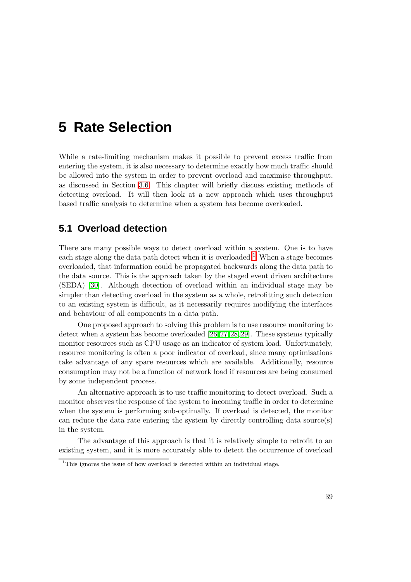# **5 Rate Selection**

While a rate-limiting mechanism makes it possible to prevent excess traffic from entering the system, it is also necessary to determine exactly how much traffic should be allowed into the system in order to prevent overload and maximise throughput, as discussed in Section [3.6.](#page-40-1) This chapter will briefly discuss existing methods of detecting overload. It will then look at a new approach which uses throughput based traffic analysis to determine when a system has become overloaded.

# **5.1 Overload detection**

There are many possible ways to detect overload within a system. One is to have each stage along the data path detect when it is overloaded.<sup>[1](#page-56-0)</sup> When a stage becomes overloaded, that information could be propagated backwards along the data path to the data source. This is the approach taken by the staged event driven architecture (SEDA) [\[30\]](#page-104-3). Although detection of overload within an individual stage may be simpler than detecting overload in the system as a whole, retrofitting such detection to an existing system is difficult, as it necessarily requires modifying the interfaces and behaviour of all components in a data path.

One proposed approach to solving this problem is to use resource monitoring to detect when a system has become overloaded [\[26,](#page-104-4)[27,](#page-104-5)[28,](#page-104-6)[29\]](#page-104-7). These systems typically monitor resources such as CPU usage as an indicator of system load. Unfortunately, resource monitoring is often a poor indicator of overload, since many optimisations take advantage of any spare resources which are available. Additionally, resource consumption may not be a function of network load if resources are being consumed by some independent process.

An alternative approach is to use traffic monitoring to detect overload. Such a monitor observes the response of the system to incoming traffic in order to determine when the system is performing sub-optimally. If overload is detected, the monitor can reduce the data rate entering the system by directly controlling data source(s) in the system.

The advantage of this approach is that it is relatively simple to retrofit to an existing system, and it is more accurately able to detect the occurrence of overload

<span id="page-56-0"></span> $1$ This ignores the issue of how overload is detected within an individual stage.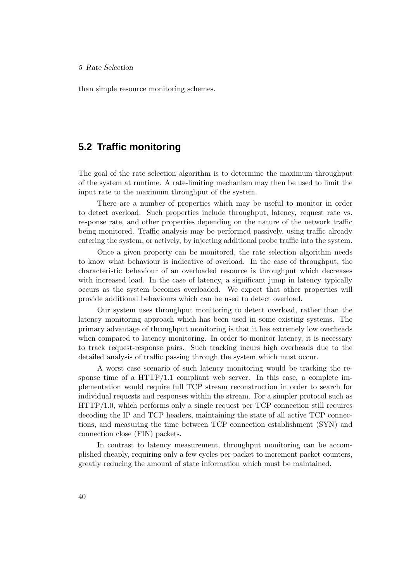### 5 Rate Selection

than simple resource monitoring schemes.

## **5.2 Traffic monitoring**

The goal of the rate selection algorithm is to determine the maximum throughput of the system at runtime. A rate-limiting mechanism may then be used to limit the input rate to the maximum throughput of the system.

There are a number of properties which may be useful to monitor in order to detect overload. Such properties include throughput, latency, request rate vs. response rate, and other properties depending on the nature of the network traffic being monitored. Traffic analysis may be performed passively, using traffic already entering the system, or actively, by injecting additional probe traffic into the system.

Once a given property can be monitored, the rate selection algorithm needs to know what behaviour is indicative of overload. In the case of throughput, the characteristic behaviour of an overloaded resource is throughput which decreases with increased load. In the case of latency, a significant jump in latency typically occurs as the system becomes overloaded. We expect that other properties will provide additional behaviours which can be used to detect overload.

Our system uses throughput monitoring to detect overload, rather than the latency monitoring approach which has been used in some existing systems. The primary advantage of throughput monitoring is that it has extremely low overheads when compared to latency monitoring. In order to monitor latency, it is necessary to track request-response pairs. Such tracking incurs high overheads due to the detailed analysis of traffic passing through the system which must occur.

A worst case scenario of such latency monitoring would be tracking the response time of a  $HTTP/1.1$  compliant web server. In this case, a complete implementation would require full TCP stream reconstruction in order to search for individual requests and responses within the stream. For a simpler protocol such as HTTP/1.0, which performs only a single request per TCP connection still requires decoding the IP and TCP headers, maintaining the state of all active TCP connections, and measuring the time between TCP connection establishment (SYN) and connection close (FIN) packets.

In contrast to latency measurement, throughput monitoring can be accomplished cheaply, requiring only a few cycles per packet to increment packet counters, greatly reducing the amount of state information which must be maintained.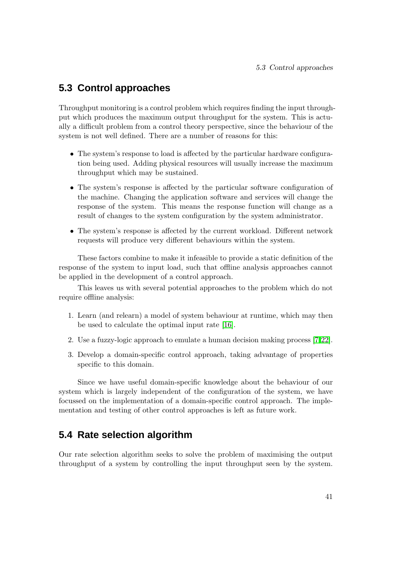# **5.3 Control approaches**

Throughput monitoring is a control problem which requires finding the input throughput which produces the maximum output throughput for the system. This is actually a difficult problem from a control theory perspective, since the behaviour of the system is not well defined. There are a number of reasons for this:

- The system's response to load is affected by the particular hardware configuration being used. Adding physical resources will usually increase the maximum throughput which may be sustained.
- The system's response is affected by the particular software configuration of the machine. Changing the application software and services will change the response of the system. This means the response function will change as a result of changes to the system configuration by the system administrator.
- The system's response is affected by the current workload. Different network requests will produce very different behaviours within the system.

These factors combine to make it infeasible to provide a static definition of the response of the system to input load, such that offline analysis approaches cannot be applied in the development of a control approach.

This leaves us with several potential approaches to the problem which do not require offline analysis:

- 1. Learn (and relearn) a model of system behaviour at runtime, which may then be used to calculate the optimal input rate [\[16\]](#page-103-5).
- 2. Use a fuzzy-logic approach to emulate a human decision making process [\[7,](#page-102-3)[22\]](#page-104-8).
- 3. Develop a domain-specific control approach, taking advantage of properties specific to this domain.

Since we have useful domain-specific knowledge about the behaviour of our system which is largely independent of the configuration of the system, we have focussed on the implementation of a domain-specific control approach. The implementation and testing of other control approaches is left as future work.

# **5.4 Rate selection algorithm**

Our rate selection algorithm seeks to solve the problem of maximising the output throughput of a system by controlling the input throughput seen by the system.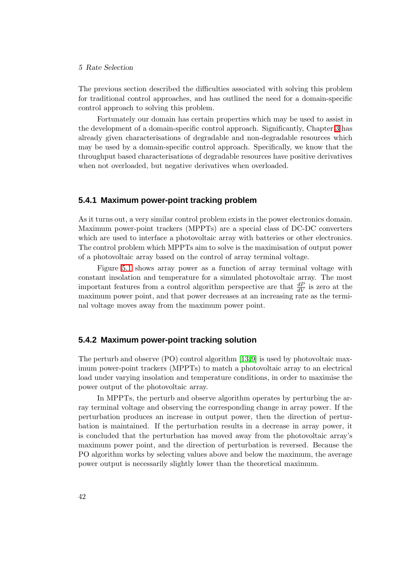### 5 Rate Selection

The previous section described the difficulties associated with solving this problem for traditional control approaches, and has outlined the need for a domain-specific control approach to solving this problem.

Fortunately our domain has certain properties which may be used to assist in the development of a domain-specific control approach. Significantly, Chapter [3](#page-36-0) has already given characterisations of degradable and non-degradable resources which may be used by a domain-specific control approach. Specifically, we know that the throughput based characterisations of degradable resources have positive derivatives when not overloaded, but negative derivatives when overloaded.

### **5.4.1 Maximum power-point tracking problem**

As it turns out, a very similar control problem exists in the power electronics domain. Maximum power-point trackers (MPPTs) are a special class of DC-DC converters which are used to interface a photovoltaic array with batteries or other electronics. The control problem which MPPTs aim to solve is the maximisation of output power of a photovoltaic array based on the control of array terminal voltage.

Figure [5.1](#page-60-0) shows array power as a function of array terminal voltage with constant insolation and temperature for a simulated photovoltaic array. The most important features from a control algorithm perspective are that  $\frac{dP}{dV}$  is zero at the maximum power point, and that power decreases at an increasing rate as the terminal voltage moves away from the maximum power point.

## **5.4.2 Maximum power-point tracking solution**

The perturb and observe  $(PO)$  control algorithm  $[13,9]$  $[13,9]$  is used by photovoltaic maximum power-point trackers (MPPTs) to match a photovoltaic array to an electrical load under varying insolation and temperature conditions, in order to maximise the power output of the photovoltaic array.

In MPPTs, the perturb and observe algorithm operates by perturbing the array terminal voltage and observing the corresponding change in array power. If the perturbation produces an increase in output power, then the direction of perturbation is maintained. If the perturbation results in a decrease in array power, it is concluded that the perturbation has moved away from the photovoltaic array's maximum power point, and the direction of perturbation is reversed. Because the PO algorithm works by selecting values above and below the maximum, the average power output is necessarily slightly lower than the theoretical maximum.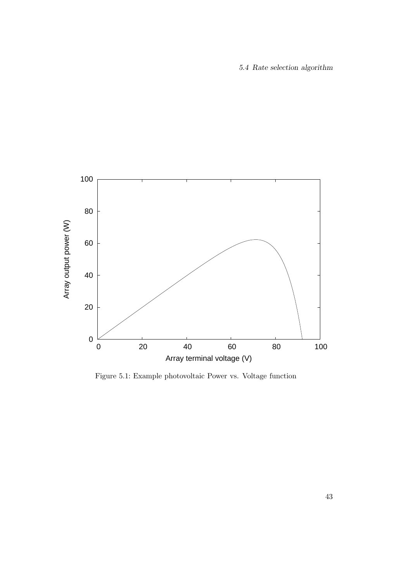5.4 Rate selection algorithm



<span id="page-60-0"></span>Figure 5.1: Example photovoltaic Power vs. Voltage function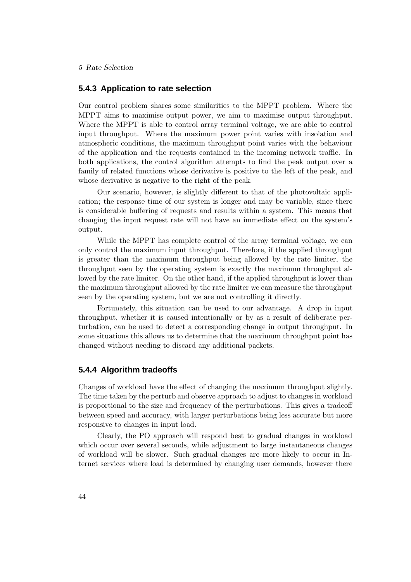5 Rate Selection

### **5.4.3 Application to rate selection**

Our control problem shares some similarities to the MPPT problem. Where the MPPT aims to maximise output power, we aim to maximise output throughput. Where the MPPT is able to control array terminal voltage, we are able to control input throughput. Where the maximum power point varies with insolation and atmospheric conditions, the maximum throughput point varies with the behaviour of the application and the requests contained in the incoming network traffic. In both applications, the control algorithm attempts to find the peak output over a family of related functions whose derivative is positive to the left of the peak, and whose derivative is negative to the right of the peak.

Our scenario, however, is slightly different to that of the photovoltaic application; the response time of our system is longer and may be variable, since there is considerable buffering of requests and results within a system. This means that changing the input request rate will not have an immediate effect on the system's output.

While the MPPT has complete control of the array terminal voltage, we can only control the maximum input throughput. Therefore, if the applied throughput is greater than the maximum throughput being allowed by the rate limiter, the throughput seen by the operating system is exactly the maximum throughput allowed by the rate limiter. On the other hand, if the applied throughput is lower than the maximum throughput allowed by the rate limiter we can measure the throughput seen by the operating system, but we are not controlling it directly.

Fortunately, this situation can be used to our advantage. A drop in input throughput, whether it is caused intentionally or by as a result of deliberate perturbation, can be used to detect a corresponding change in output throughput. In some situations this allows us to determine that the maximum throughput point has changed without needing to discard any additional packets.

## **5.4.4 Algorithm tradeoffs**

Changes of workload have the effect of changing the maximum throughput slightly. The time taken by the perturb and observe approach to adjust to changes in workload is proportional to the size and frequency of the perturbations. This gives a tradeoff between speed and accuracy, with larger perturbations being less accurate but more responsive to changes in input load.

Clearly, the PO approach will respond best to gradual changes in workload which occur over several seconds, while adjustment to large instantaneous changes of workload will be slower. Such gradual changes are more likely to occur in Internet services where load is determined by changing user demands, however there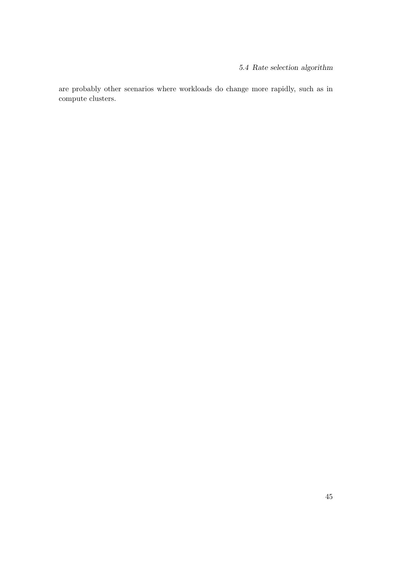are probably other scenarios where workloads do change more rapidly, such as in compute clusters.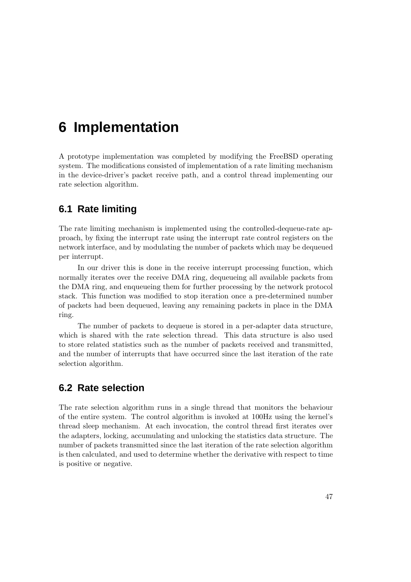# **6 Implementation**

A prototype implementation was completed by modifying the FreeBSD operating system. The modifications consisted of implementation of a rate limiting mechanism in the device-driver's packet receive path, and a control thread implementing our rate selection algorithm.

# **6.1 Rate limiting**

The rate limiting mechanism is implemented using the controlled-dequeue-rate approach, by fixing the interrupt rate using the interrupt rate control registers on the network interface, and by modulating the number of packets which may be dequeued per interrupt.

In our driver this is done in the receive interrupt processing function, which normally iterates over the receive DMA ring, dequeueing all available packets from the DMA ring, and enqueueing them for further processing by the network protocol stack. This function was modified to stop iteration once a pre-determined number of packets had been dequeued, leaving any remaining packets in place in the DMA ring.

The number of packets to dequeue is stored in a per-adapter data structure, which is shared with the rate selection thread. This data structure is also used to store related statistics such as the number of packets received and transmitted, and the number of interrupts that have occurred since the last iteration of the rate selection algorithm.

# **6.2 Rate selection**

The rate selection algorithm runs in a single thread that monitors the behaviour of the entire system. The control algorithm is invoked at 100Hz using the kernel's thread sleep mechanism. At each invocation, the control thread first iterates over the adapters, locking, accumulating and unlocking the statistics data structure. The number of packets transmitted since the last iteration of the rate selection algorithm is then calculated, and used to determine whether the derivative with respect to time is positive or negative.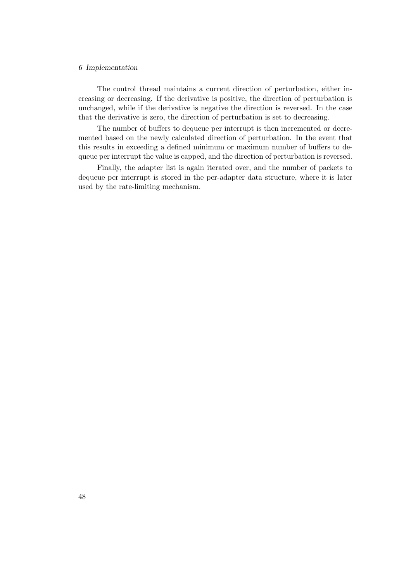### 6 Implementation

The control thread maintains a current direction of perturbation, either increasing or decreasing. If the derivative is positive, the direction of perturbation is unchanged, while if the derivative is negative the direction is reversed. In the case that the derivative is zero, the direction of perturbation is set to decreasing.

The number of buffers to dequeue per interrupt is then incremented or decremented based on the newly calculated direction of perturbation. In the event that this results in exceeding a defined minimum or maximum number of buffers to dequeue per interrupt the value is capped, and the direction of perturbation is reversed.

Finally, the adapter list is again iterated over, and the number of packets to dequeue per interrupt is stored in the per-adapter data structure, where it is later used by the rate-limiting mechanism.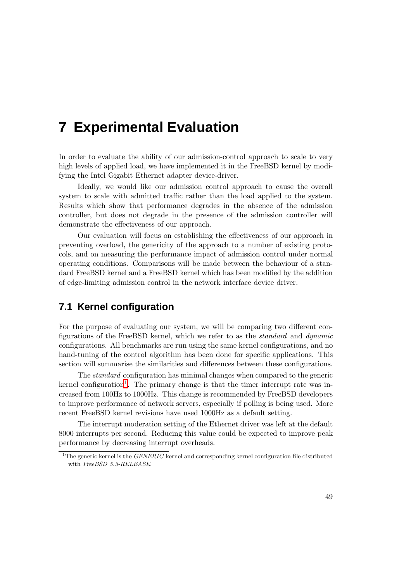# **7 Experimental Evaluation**

In order to evaluate the ability of our admission-control approach to scale to very high levels of applied load, we have implemented it in the FreeBSD kernel by modifying the Intel Gigabit Ethernet adapter device-driver.

Ideally, we would like our admission control approach to cause the overall system to scale with admitted traffic rather than the load applied to the system. Results which show that performance degrades in the absence of the admission controller, but does not degrade in the presence of the admission controller will demonstrate the effectiveness of our approach.

Our evaluation will focus on establishing the effectiveness of our approach in preventing overload, the genericity of the approach to a number of existing protocols, and on measuring the performance impact of admission control under normal operating conditions. Comparisons will be made between the behaviour of a standard FreeBSD kernel and a FreeBSD kernel which has been modified by the addition of edge-limiting admission control in the network interface device driver.

# **7.1 Kernel configuration**

For the purpose of evaluating our system, we will be comparing two different configurations of the FreeBSD kernel, which we refer to as the standard and dynamic configurations. All benchmarks are run using the same kernel configurations, and no hand-tuning of the control algorithm has been done for specific applications. This section will summarise the similarities and differences between these configurations.

The standard configuration has minimal changes when compared to the generic kernel configuration<sup>[1](#page-66-0)</sup>. The primary change is that the timer interrupt rate was increased from 100Hz to 1000Hz. This change is recommended by FreeBSD developers to improve performance of network servers, especially if polling is being used. More recent FreeBSD kernel revisions have used 1000Hz as a default setting.

The interrupt moderation setting of the Ethernet driver was left at the default 8000 interrupts per second. Reducing this value could be expected to improve peak performance by decreasing interrupt overheads.

<span id="page-66-0"></span><sup>&</sup>lt;sup>1</sup>The generic kernel is the *GENERIC* kernel and corresponding kernel configuration file distributed with FreeBSD 5.3-RELEASE.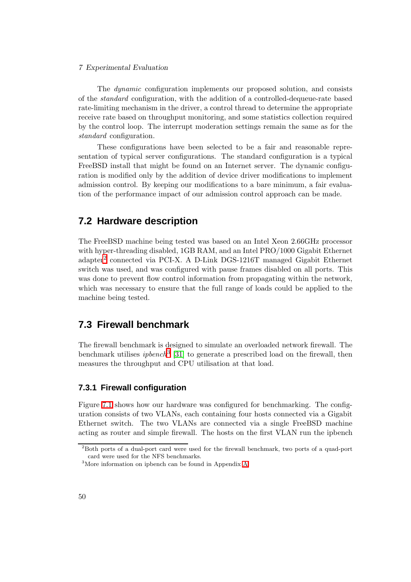### 7 Experimental Evaluation

The dynamic configuration implements our proposed solution, and consists of the standard configuration, with the addition of a controlled-dequeue-rate based rate-limiting mechanism in the driver, a control thread to determine the appropriate receive rate based on throughput monitoring, and some statistics collection required by the control loop. The interrupt moderation settings remain the same as for the standard configuration.

These configurations have been selected to be a fair and reasonable representation of typical server configurations. The standard configuration is a typical FreeBSD install that might be found on an Internet server. The dynamic configuration is modified only by the addition of device driver modifications to implement admission control. By keeping our modifications to a bare minimum, a fair evaluation of the performance impact of our admission control approach can be made.

## **7.2 Hardware description**

The FreeBSD machine being tested was based on an Intel Xeon 2.66GHz processor with hyper-threading disabled, 1GB RAM, and an Intel PRO/1000 Gigabit Ethernet adapter<sup>[2](#page-67-0)</sup> connected via PCI-X. A D-Link DGS-1216T managed Gigabit Ethernet switch was used, and was configured with pause frames disabled on all ports. This was done to prevent flow control information from propagating within the network, which was necessary to ensure that the full range of loads could be applied to the machine being tested.

## **7.3 Firewall benchmark**

The firewall benchmark is designed to simulate an overloaded network firewall. The benchmark utilises *ipbench*<sup>[3](#page-67-1)</sup> [\[31\]](#page-104-9) to generate a prescribed load on the firewall, then measures the throughput and CPU utilisation at that load.

## **7.3.1 Firewall configuration**

Figure [7.1](#page-68-0) shows how our hardware was configured for benchmarking. The configuration consists of two VLANs, each containing four hosts connected via a Gigabit Ethernet switch. The two VLANs are connected via a single FreeBSD machine acting as router and simple firewall. The hosts on the first VLAN run the ipbench

<span id="page-67-0"></span><sup>2</sup>Both ports of a dual-port card were used for the firewall benchmark, two ports of a quad-port card were used for the NFS benchmarks.

<span id="page-67-1"></span><sup>3</sup>More information on ipbench can be found in Appendix [A.](#page-96-0)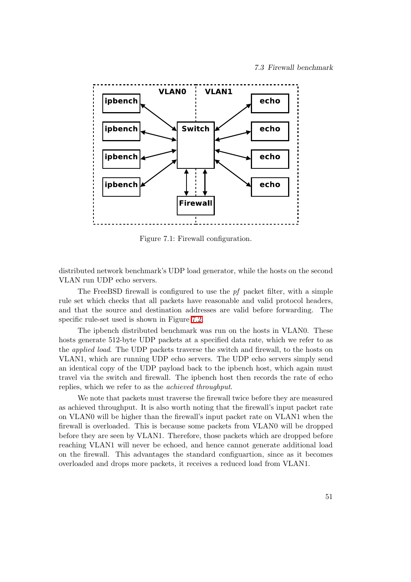

<span id="page-68-0"></span>Figure 7.1: Firewall configuration.

distributed network benchmark's UDP load generator, while the hosts on the second VLAN run UDP echo servers.

The FreeBSD firewall is configured to use the  $pf$  packet filter, with a simple rule set which checks that all packets have reasonable and valid protocol headers, and that the source and destination addresses are valid before forwarding. The specific rule-set used is shown in Figure [7.2.](#page-69-0)

The ipbench distributed benchmark was run on the hosts in VLAN0. These hosts generate 512-byte UDP packets at a specified data rate, which we refer to as the applied load. The UDP packets traverse the switch and firewall, to the hosts on VLAN1, which are running UDP echo servers. The UDP echo servers simply send an identical copy of the UDP payload back to the ipbench host, which again must travel via the switch and firewall. The ipbench host then records the rate of echo replies, which we refer to as the achieved throughput.

We note that packets must traverse the firewall twice before they are measured as achieved throughput. It is also worth noting that the firewall's input packet rate on VLAN0 will be higher than the firewall's input packet rate on VLAN1 when the firewall is overloaded. This is because some packets from VLAN0 will be dropped before they are seen by VLAN1. Therefore, those packets which are dropped before reaching VLAN1 will never be echoed, and hence cannot generate additional load on the firewall. This advantages the standard configuartion, since as it becomes overloaded and drops more packets, it receives a reduced load from VLAN1.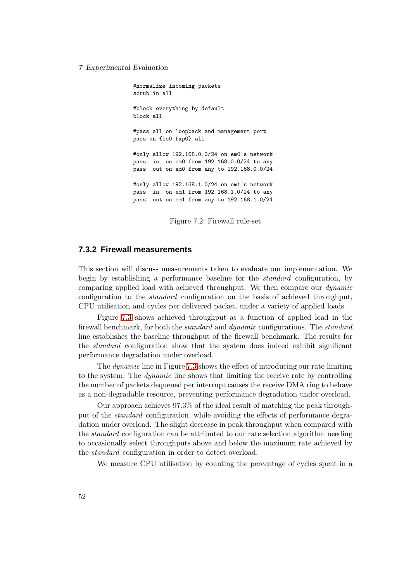#### 7 Experimental Evaluation

#normalize incoming packets scrub in all #block everything by default block all #pass all on loopback and management port pass on {lo0 fxp0} all #only allow 192.168.0.0/24 on em0's network pass in on em0 from 192.168.0.0/24 to any pass out on em0 from any to 192.168.0.0/24 #only allow 192.168.1.0/24 on em1's network pass in on em1 from 192.168.1.0/24 to any pass out on em1 from any to 192.168.1.0/24

<span id="page-69-0"></span>Figure 7.2: Firewall rule-set

### **7.3.2 Firewall measurements**

This section will discuss measurements taken to evaluate our implementation. We begin by establishing a performance baseline for the standard configuration, by comparing applied load with achieved throughput. We then compare our dynamic configuration to the standard configuration on the basis of achieved throughput, CPU utilisation and cycles per delivered packet, under a variety of applied loads.

Figure [7.3](#page-70-0) shows achieved throughput as a function of applied load in the firewall benchmark, for both the *standard* and *dynamic* configurations. The *standard* line establishes the baseline throughput of the firewall benchmark. The results for the standard configuration show that the system does indeed exhibit significant performance degradation under overload.

The dynamic line in Figure [7.3](#page-70-0) shows the effect of introducing our rate-limiting to the system. The dynamic line shows that limiting the receive rate by controlling the number of packets dequeued per interrupt causes the receive DMA ring to behave as a non-degradable resource, preventing performance degradation under overload.

Our approach achieves 97.3% of the ideal result of matching the peak throughput of the standard configuration, while avoiding the effects of performance degradation under overload. The slight decrease in peak throughput when compared with the standard configuration can be attributed to our rate selection algorithm needing to occasionally select throughputs above and below the maximum rate achieved by the standard configuration in order to detect overload.

We measure CPU utilisation by counting the percentage of cycles spent in a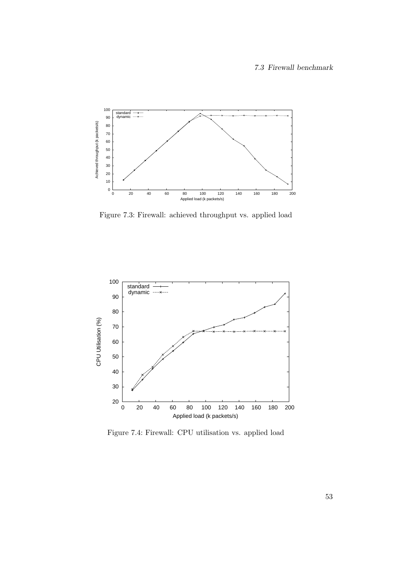

<span id="page-70-0"></span>Figure 7.3: Firewall: achieved throughput vs. applied load



<span id="page-70-1"></span>Figure 7.4: Firewall: CPU utilisation vs. applied load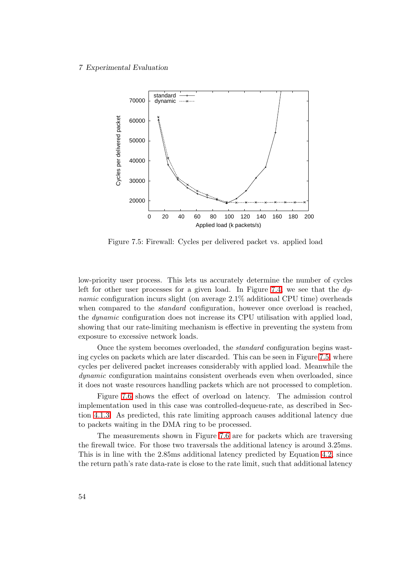#### 7 Experimental Evaluation



<span id="page-71-0"></span>Figure 7.5: Firewall: Cycles per delivered packet vs. applied load

low-priority user process. This lets us accurately determine the number of cycles left for other user processes for a given load. In Figure [7.4,](#page-70-1) we see that the  $dy$ namic configuration incurs slight (on average 2.1% additional CPU time) overheads when compared to the *standard* configuration, however once overload is reached, the dynamic configuration does not increase its CPU utilisation with applied load, showing that our rate-limiting mechanism is effective in preventing the system from exposure to excessive network loads.

Once the system becomes overloaded, the standard configuration begins wasting cycles on packets which are later discarded. This can be seen in Figure [7.5,](#page-71-0) where cycles per delivered packet increases considerably with applied load. Meanwhile the dynamic configuration maintains consistent overheads even when overloaded, since it does not waste resources handling packets which are not processed to completion.

Figure [7.6](#page-72-0) shows the effect of overload on latency. The admission control implementation used in this case was controlled-dequeue-rate, as described in Section [4.1.3.](#page-49-1) As predicted, this rate limiting approach causes additional latency due to packets waiting in the DMA ring to be processed.

The measurements shown in Figure [7.6](#page-72-0) are for packets which are traversing the firewall twice. For those two traversals the additional latency is around 3.25ms. This is in line with the 2.85ms additional latency predicted by Equation [4.2,](#page-49-0) since the return path's rate data-rate is close to the rate limit, such that additional latency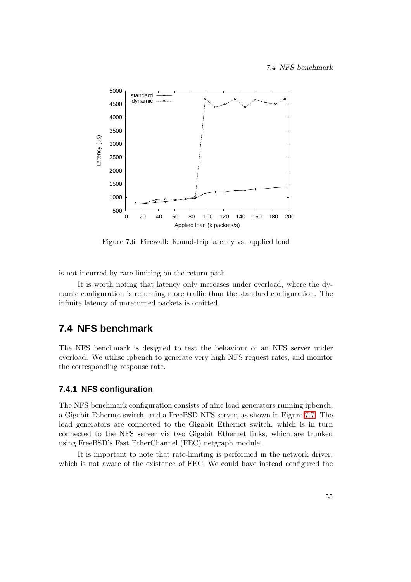

Figure 7.6: Firewall: Round-trip latency vs. applied load

is not incurred by rate-limiting on the return path.

It is worth noting that latency only increases under overload, where the dynamic configuration is returning more traffic than the standard configuration. The infinite latency of unreturned packets is omitted.

# **7.4 NFS benchmark**

The NFS benchmark is designed to test the behaviour of an NFS server under overload. We utilise ipbench to generate very high NFS request rates, and monitor the corresponding response rate.

## **7.4.1 NFS configuration**

The NFS benchmark configuration consists of nine load generators running ipbench, a Gigabit Ethernet switch, and a FreeBSD NFS server, as shown in Figure [7.7.](#page-73-0) The load generators are connected to the Gigabit Ethernet switch, which is in turn connected to the NFS server via two Gigabit Ethernet links, which are trunked using FreeBSD's Fast EtherChannel (FEC) netgraph module.

It is important to note that rate-limiting is performed in the network driver, which is not aware of the existence of FEC. We could have instead configured the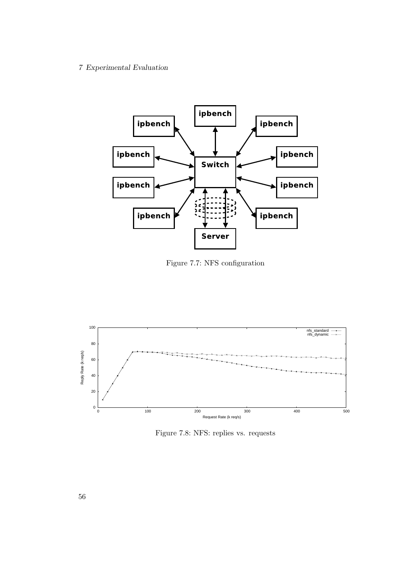

<span id="page-73-0"></span>Figure 7.7: NFS configuration



<span id="page-73-1"></span>Figure 7.8: NFS: replies vs. requests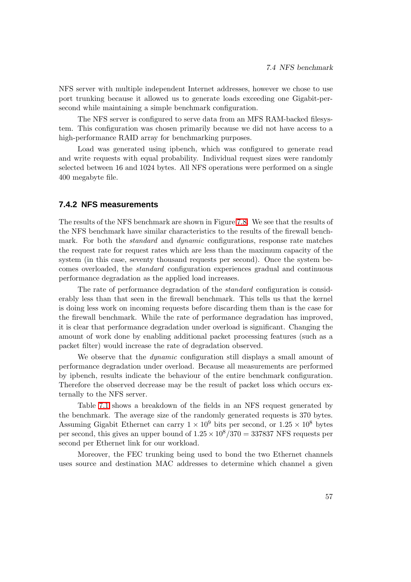NFS server with multiple independent Internet addresses, however we chose to use port trunking because it allowed us to generate loads exceeding one Gigabit-persecond while maintaining a simple benchmark configuration.

The NFS server is configured to serve data from an MFS RAM-backed filesystem. This configuration was chosen primarily because we did not have access to a high-performance RAID array for benchmarking purposes.

Load was generated using ipbench, which was configured to generate read and write requests with equal probability. Individual request sizes were randomly selected between 16 and 1024 bytes. All NFS operations were performed on a single 400 megabyte file.

### **7.4.2 NFS measurements**

The results of the NFS benchmark are shown in Figure [7.8.](#page-73-1) We see that the results of the NFS benchmark have similar characteristics to the results of the firewall benchmark. For both the *standard* and *dynamic* configurations, response rate matches the request rate for request rates which are less than the maximum capacity of the system (in this case, seventy thousand requests per second). Once the system becomes overloaded, the standard configuration experiences gradual and continuous performance degradation as the applied load increases.

The rate of performance degradation of the standard configuration is considerably less than that seen in the firewall benchmark. This tells us that the kernel is doing less work on incoming requests before discarding them than is the case for the firewall benchmark. While the rate of performance degradation has improved, it is clear that performance degradation under overload is significant. Changing the amount of work done by enabling additional packet processing features (such as a packet filter) would increase the rate of degradation observed.

We observe that the *dynamic* configuration still displays a small amount of performance degradation under overload. Because all measurements are performed by ipbench, results indicate the behaviour of the entire benchmark configuration. Therefore the observed decrease may be the result of packet loss which occurs externally to the NFS server.

Table [7.1](#page-75-0) shows a breakdown of the fields in an NFS request generated by the benchmark. The average size of the randomly generated requests is 370 bytes. Assuming Gigabit Ethernet can carry  $1 \times 10^9$  bits per second, or  $1.25 \times 10^8$  bytes per second, this gives an upper bound of  $1.25 \times 10^8 / 370 = 337837$  NFS requests per second per Ethernet link for our workload.

Moreover, the FEC trunking being used to bond the two Ethernet channels uses source and destination MAC addresses to determine which channel a given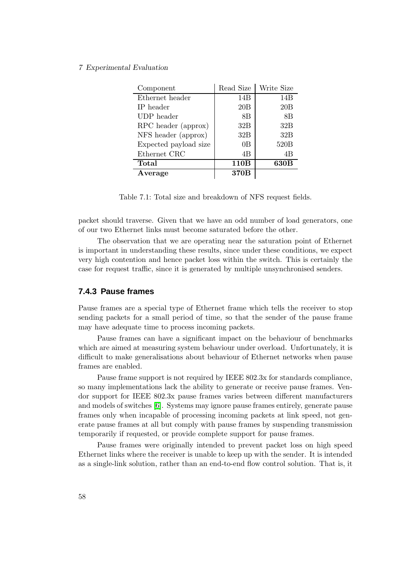| Component             | Read Size | Write Size |
|-----------------------|-----------|------------|
| Ethernet header       | 14B       | 14B        |
| IP header             | 20B       | 20B        |
| UDP header            | 8B        | 8B         |
| RPC header (approx)   | 32B       | 32B        |
| NFS header (approx)   | 32B       | 32B        |
| Expected payload size | 0B        | 520B       |
| Ethernet CRC          | 4B        | 4B         |
| Total                 | 110B      | 630B       |
| Average               | 370B      |            |

<span id="page-75-0"></span>Table 7.1: Total size and breakdown of NFS request fields.

packet should traverse. Given that we have an odd number of load generators, one of our two Ethernet links must become saturated before the other.

The observation that we are operating near the saturation point of Ethernet is important in understanding these results, since under these conditions, we expect very high contention and hence packet loss within the switch. This is certainly the case for request traffic, since it is generated by multiple unsynchronised senders.

### **7.4.3 Pause frames**

Pause frames are a special type of Ethernet frame which tells the receiver to stop sending packets for a small period of time, so that the sender of the pause frame may have adequate time to process incoming packets.

Pause frames can have a significant impact on the behaviour of benchmarks which are aimed at measuring system behaviour under overload. Unfortunately, it is difficult to make generalisations about behaviour of Ethernet networks when pause frames are enabled.

Pause frame support is not required by IEEE 802.3x for standards compliance, so many implementations lack the ability to generate or receive pause frames. Vendor support for IEEE 802.3x pause frames varies between different manufacturers and models of switches [\[6\]](#page-102-0). Systems may ignore pause frames entirely, generate pause frames only when incapable of processing incoming packets at link speed, not generate pause frames at all but comply with pause frames by suspending transmission temporarily if requested, or provide complete support for pause frames.

Pause frames were originally intended to prevent packet loss on high speed Ethernet links where the receiver is unable to keep up with the sender. It is intended as a single-link solution, rather than an end-to-end flow control solution. That is, it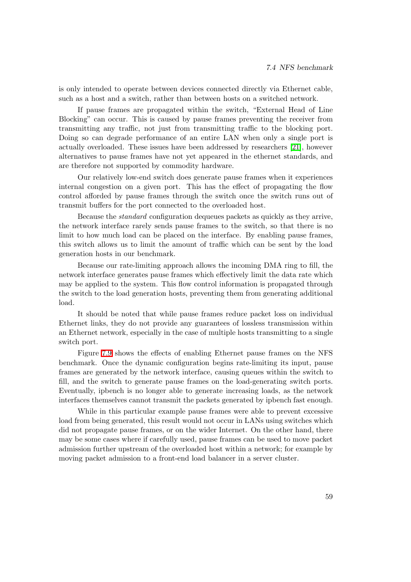is only intended to operate between devices connected directly via Ethernet cable, such as a host and a switch, rather than between hosts on a switched network.

If pause frames are propagated within the switch, "External Head of Line Blocking" can occur. This is caused by pause frames preventing the receiver from transmitting any traffic, not just from transmitting traffic to the blocking port. Doing so can degrade performance of an entire LAN when only a single port is actually overloaded. These issues have been addressed by researchers [\[21\]](#page-104-0), however alternatives to pause frames have not yet appeared in the ethernet standards, and are therefore not supported by commodity hardware.

Our relatively low-end switch does generate pause frames when it experiences internal congestion on a given port. This has the effect of propagating the flow control afforded by pause frames through the switch once the switch runs out of transmit buffers for the port connected to the overloaded host.

Because the standard configuration dequeues packets as quickly as they arrive, the network interface rarely sends pause frames to the switch, so that there is no limit to how much load can be placed on the interface. By enabling pause frames, this switch allows us to limit the amount of traffic which can be sent by the load generation hosts in our benchmark.

Because our rate-limiting approach allows the incoming DMA ring to fill, the network interface generates pause frames which effectively limit the data rate which may be applied to the system. This flow control information is propagated through the switch to the load generation hosts, preventing them from generating additional load.

It should be noted that while pause frames reduce packet loss on individual Ethernet links, they do not provide any guarantees of lossless transmission within an Ethernet network, especially in the case of multiple hosts transmitting to a single switch port.

Figure [7.9](#page-77-0) shows the effects of enabling Ethernet pause frames on the NFS benchmark. Once the dynamic configuration begins rate-limiting its input, pause frames are generated by the network interface, causing queues within the switch to fill, and the switch to generate pause frames on the load-generating switch ports. Eventually, ipbench is no longer able to generate increasing loads, as the network interfaces themselves cannot transmit the packets generated by ipbench fast enough.

While in this particular example pause frames were able to prevent excessive load from being generated, this result would not occur in LANs using switches which did not propagate pause frames, or on the wider Internet. On the other hand, there may be some cases where if carefully used, pause frames can be used to move packet admission further upstream of the overloaded host within a network; for example by moving packet admission to a front-end load balancer in a server cluster.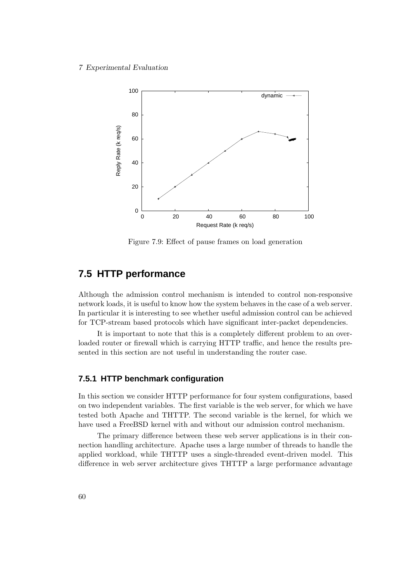

<span id="page-77-0"></span>Figure 7.9: Effect of pause frames on load generation

# **7.5 HTTP performance**

Although the admission control mechanism is intended to control non-responsive network loads, it is useful to know how the system behaves in the case of a web server. In particular it is interesting to see whether useful admission control can be achieved for TCP-stream based protocols which have significant inter-packet dependencies.

It is important to note that this is a completely different problem to an overloaded router or firewall which is carrying HTTP traffic, and hence the results presented in this section are not useful in understanding the router case.

### **7.5.1 HTTP benchmark configuration**

In this section we consider HTTP performance for four system configurations, based on two independent variables. The first variable is the web server, for which we have tested both Apache and THTTP. The second variable is the kernel, for which we have used a FreeBSD kernel with and without our admission control mechanism.

The primary difference between these web server applications is in their connection handling architecture. Apache uses a large number of threads to handle the applied workload, while THTTP uses a single-threaded event-driven model. This difference in web server architecture gives THTTP a large performance advantage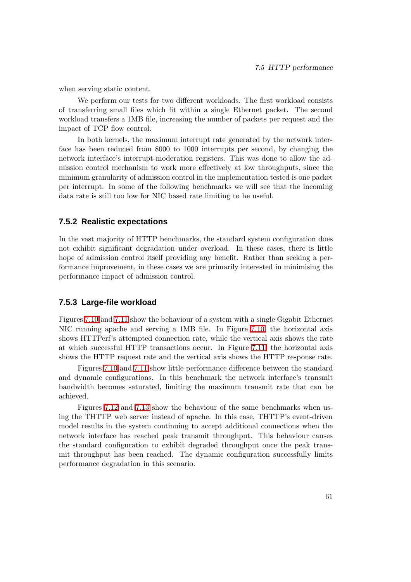when serving static content.

We perform our tests for two different workloads. The first workload consists of transferring small files which fit within a single Ethernet packet. The second workload transfers a 1MB file, increasing the number of packets per request and the impact of TCP flow control.

In both kernels, the maximum interrupt rate generated by the network interface has been reduced from 8000 to 1000 interrupts per second, by changing the network interface's interrupt-moderation registers. This was done to allow the admission control mechanism to work more effectively at low throughputs, since the minimum granularity of admission control in the implementation tested is one packet per interrupt. In some of the following benchmarks we will see that the incoming data rate is still too low for NIC based rate limiting to be useful.

### **7.5.2 Realistic expectations**

In the vast majority of HTTP benchmarks, the standard system configuration does not exhibit significant degradation under overload. In these cases, there is little hope of admission control itself providing any benefit. Rather than seeking a performance improvement, in these cases we are primarily interested in minimising the performance impact of admission control.

### **7.5.3 Large-file workload**

Figures [7.10](#page-79-0) and [7.11](#page-80-0) show the behaviour of a system with a single Gigabit Ethernet NIC running apache and serving a 1MB file. In Figure [7.10,](#page-79-0) the horizontal axis shows HTTPerf's attempted connection rate, while the vertical axis shows the rate at which successful HTTP transactions occur. In Figure [7.11,](#page-80-0) the horizontal axis shows the HTTP request rate and the vertical axis shows the HTTP response rate.

Figures [7.10](#page-79-0) and [7.11](#page-80-0) show little performance difference between the standard and dynamic configurations. In this benchmark the network interface's transmit bandwidth becomes saturated, limiting the maximum transmit rate that can be achieved.

Figures [7.12](#page-80-1) and [7.13](#page-81-0) show the behaviour of the same benchmarks when using the THTTP web server instead of apache. In this case, THTTP's event-driven model results in the system continuing to accept additional connections when the network interface has reached peak transmit throughput. This behaviour causes the standard configuration to exhibit degraded throughput once the peak transmit throughput has been reached. The dynamic configuration successfully limits performance degradation in this scenario.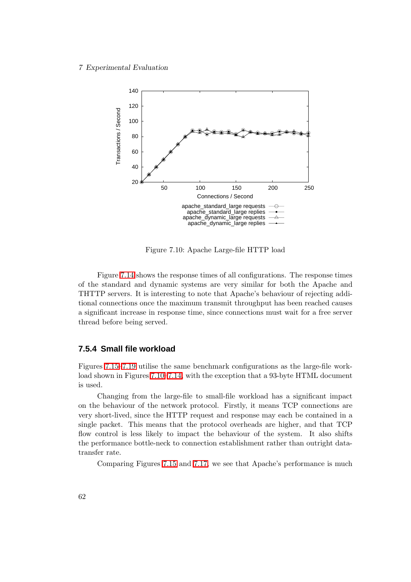

<span id="page-79-0"></span>Figure 7.10: Apache Large-file HTTP load

Figure [7.14](#page-81-1) shows the response times of all configurations. The response times of the standard and dynamic systems are very similar for both the Apache and THTTP servers. It is interesting to note that Apache's behaviour of rejecting additional connections once the maximum transmit throughput has been reached causes a significant increase in response time, since connections must wait for a free server thread before being served.

### **7.5.4 Small file workload**

Figures [7.15–](#page-82-0)[7.19](#page-84-0) utilise the same benchmark configurations as the large-file workload shown in Figures [7.10](#page-79-0)[–7.14,](#page-81-1) with the exception that a 93-byte HTML document is used.

Changing from the large-file to small-file workload has a significant impact on the behaviour of the network protocol. Firstly, it means TCP connections are very short-lived, since the HTTP request and response may each be contained in a single packet. This means that the protocol overheads are higher, and that TCP flow control is less likely to impact the behaviour of the system. It also shifts the performance bottle-neck to connection establishment rather than outright datatransfer rate.

Comparing Figures [7.15](#page-82-0) and [7.17,](#page-83-0) we see that Apache's performance is much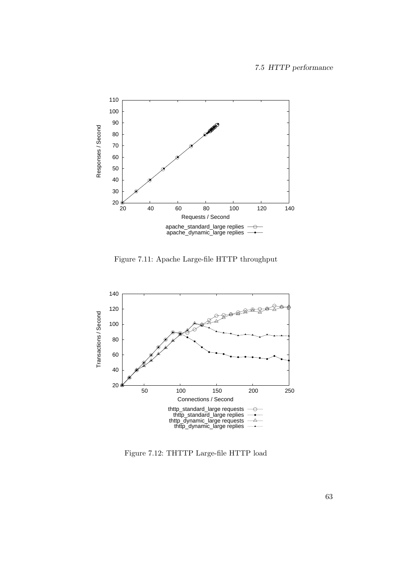

<span id="page-80-0"></span>Figure 7.11: Apache Large-file HTTP throughput



<span id="page-80-1"></span>Figure 7.12: THTTP Large-file HTTP load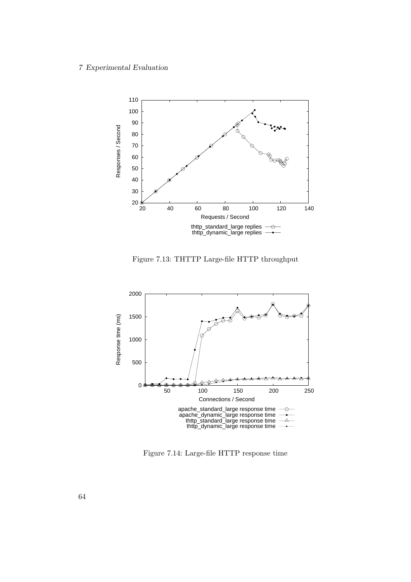

<span id="page-81-0"></span>Figure 7.13: THTTP Large-file HTTP throughput



<span id="page-81-1"></span>Figure 7.14: Large-file HTTP response time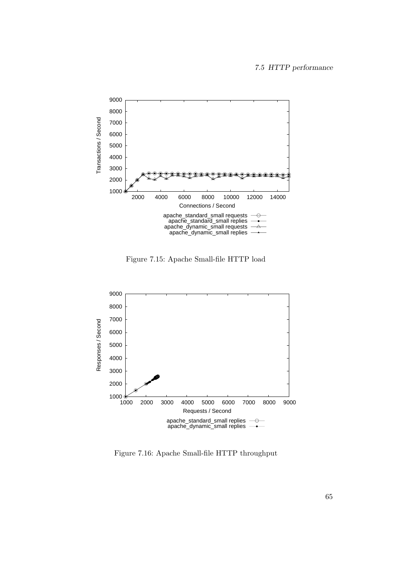

<span id="page-82-0"></span>Figure 7.15: Apache Small-file HTTP load



Figure 7.16: Apache Small-file HTTP throughput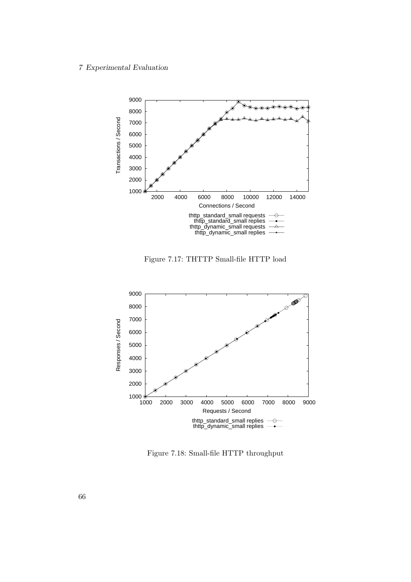

<span id="page-83-0"></span>Figure 7.17: THTTP Small-file HTTP load



Figure 7.18: Small-file HTTP throughput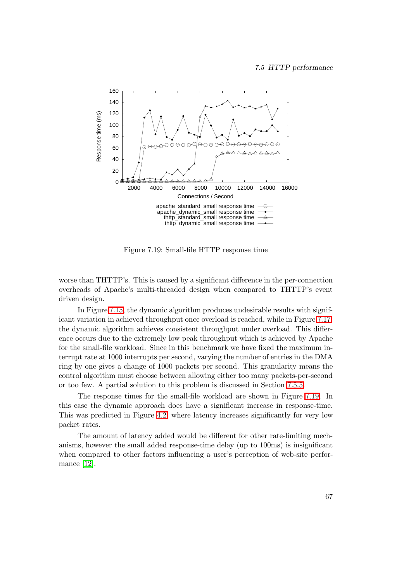

<span id="page-84-0"></span>Figure 7.19: Small-file HTTP response time

worse than THTTP's. This is caused by a significant difference in the per-connection overheads of Apache's multi-threaded design when compared to THTTP's event driven design.

In Figure [7.15,](#page-82-0) the dynamic algorithm produces undesirable results with significant variation in achieved throughput once overload is reached, while in Figure [7.17,](#page-83-0) the dynamic algorithm achieves consistent throughput under overload. This difference occurs due to the extremely low peak throughput which is achieved by Apache for the small-file workload. Since in this benchmark we have fixed the maximum interrupt rate at 1000 interrupts per second, varying the number of entries in the DMA ring by one gives a change of 1000 packets per second. This granularity means the control algorithm must choose between allowing either too many packets-per-second or too few. A partial solution to this problem is discussed in Section [7.5.5.](#page-85-0)

The response times for the small-file workload are shown in Figure [7.19.](#page-84-0) In this case the dynamic approach does have a significant increase in response-time. This was predicted in Figure [4.2,](#page-50-0) where latency increases significantly for very low packet rates.

The amount of latency added would be different for other rate-limiting mechanisms, however the small added response-time delay (up to 100ms) is insignificant when compared to other factors influencing a user's perception of web-site performance [\[12\]](#page-103-0).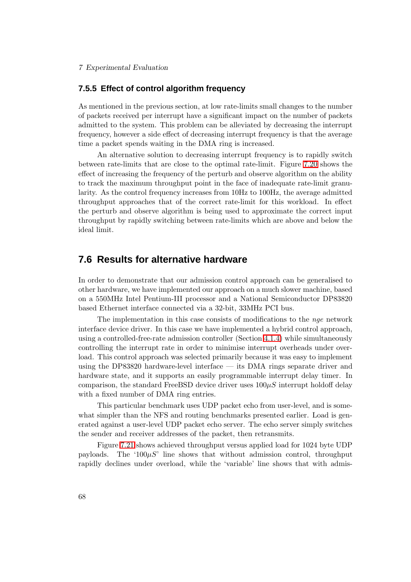### <span id="page-85-0"></span>**7.5.5 Effect of control algorithm frequency**

As mentioned in the previous section, at low rate-limits small changes to the number of packets received per interrupt have a significant impact on the number of packets admitted to the system. This problem can be alleviated by decreasing the interrupt frequency, however a side effect of decreasing interrupt frequency is that the average time a packet spends waiting in the DMA ring is increased.

An alternative solution to decreasing interrupt frequency is to rapidly switch between rate-limits that are close to the optimal rate-limit. Figure [7.20](#page-86-0) shows the effect of increasing the frequency of the perturb and observe algorithm on the ability to track the maximum throughput point in the face of inadequate rate-limit granularity. As the control frequency increases from 10Hz to 100Hz, the average admitted throughput approaches that of the correct rate-limit for this workload. In effect the perturb and observe algorithm is being used to approximate the correct input throughput by rapidly switching between rate-limits which are above and below the ideal limit.

# **7.6 Results for alternative hardware**

In order to demonstrate that our admission control approach can be generalised to other hardware, we have implemented our approach on a much slower machine, based on a 550MHz Intel Pentium-III processor and a National Semiconductor DP83820 based Ethernet interface connected via a 32-bit, 33MHz PCI bus.

The implementation in this case consists of modifications to the nge network interface device driver. In this case we have implemented a hybrid control approach, using a controlled-free-rate admission controller (Section [4.1.4\)](#page-51-0) while simultaneously controlling the interrupt rate in order to minimise interrupt overheads under overload. This control approach was selected primarily because it was easy to implement using the DP83820 hardware-level interface — its DMA rings separate driver and hardware state, and it supports an easily programmable interrupt delay timer. In comparison, the standard FreeBSD device driver uses  $100\mu S$  interrupt holdoff delay with a fixed number of DMA ring entries.

This particular benchmark uses UDP packet echo from user-level, and is somewhat simpler than the NFS and routing benchmarks presented earlier. Load is generated against a user-level UDP packet echo server. The echo server simply switches the sender and receiver addresses of the packet, then retransmits.

Figure [7.21](#page-87-0) shows achieved throughput versus applied load for 1024 byte UDP payloads. The ' $100\mu S$ ' line shows that without admission control, throughput rapidly declines under overload, while the 'variable' line shows that with admis-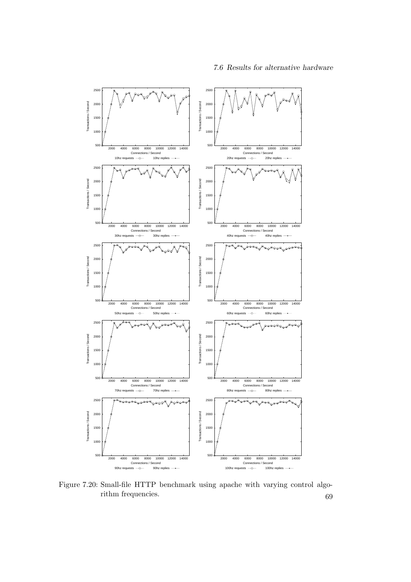7.6 Results for alternative hardware



<span id="page-86-0"></span>Figure 7.20: Small-file HTTP benchmark using apache with varying control algorithm frequencies. 69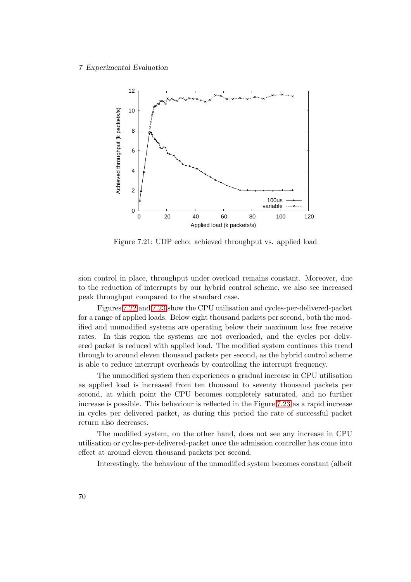

<span id="page-87-0"></span>Figure 7.21: UDP echo: achieved throughput vs. applied load

sion control in place, throughput under overload remains constant. Moreover, due to the reduction of interrupts by our hybrid control scheme, we also see increased peak throughput compared to the standard case.

Figures [7.22](#page-88-0) and [7.23](#page-88-1) show the CPU utilisation and cycles-per-delivered-packet for a range of applied loads. Below eight thousand packets per second, both the modified and unmodified systems are operating below their maximum loss free receive rates. In this region the systems are not overloaded, and the cycles per delivered packet is reduced with applied load. The modified system continues this trend through to around eleven thousand packets per second, as the hybrid control scheme is able to reduce interrupt overheads by controlling the interrupt frequency.

The unmodified system then experiences a gradual increase in CPU utilisation as applied load is increased from ten thousand to seventy thousand packets per second, at which point the CPU becomes completely saturated, and no further increase is possible. This behaviour is reflected in the Figure [7.23](#page-88-1) as a rapid increase in cycles per delivered packet, as during this period the rate of successful packet return also decreases.

The modified system, on the other hand, does not see any increase in CPU utilisation or cycles-per-delivered-packet once the admission controller has come into effect at around eleven thousand packets per second.

Interestingly, the behaviour of the unmodified system becomes constant (albeit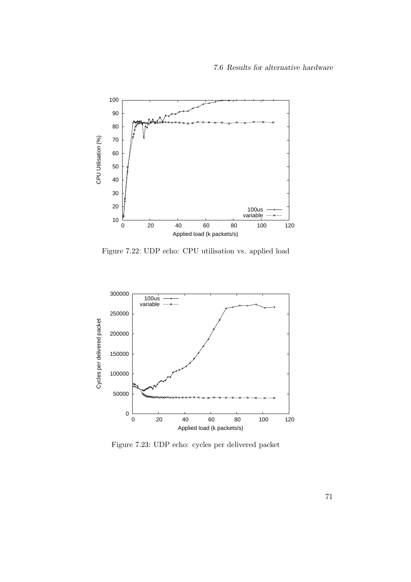### 7.6 Results for alternative hardware



<span id="page-88-0"></span>Figure 7.22: UDP echo: CPU utilisation vs. applied load



<span id="page-88-1"></span>Figure 7.23: UDP echo: cycles per delivered packet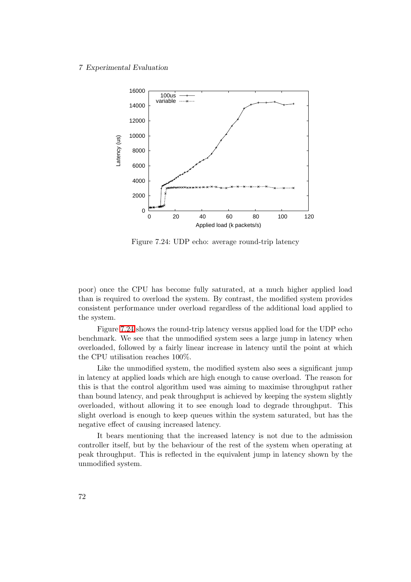

<span id="page-89-0"></span>Figure 7.24: UDP echo: average round-trip latency

poor) once the CPU has become fully saturated, at a much higher applied load than is required to overload the system. By contrast, the modified system provides consistent performance under overload regardless of the additional load applied to the system.

Figure [7.24](#page-89-0) shows the round-trip latency versus applied load for the UDP echo benchmark. We see that the unmodified system sees a large jump in latency when overloaded, followed by a fairly linear increase in latency until the point at which the CPU utilisation reaches 100%.

Like the unmodified system, the modified system also sees a significant jump in latency at applied loads which are high enough to cause overload. The reason for this is that the control algorithm used was aiming to maximise throughput rather than bound latency, and peak throughput is achieved by keeping the system slightly overloaded, without allowing it to see enough load to degrade throughput. This slight overload is enough to keep queues within the system saturated, but has the negative effect of causing increased latency.

It bears mentioning that the increased latency is not due to the admission controller itself, but by the behaviour of the rest of the system when operating at peak throughput. This is reflected in the equivalent jump in latency shown by the unmodified system.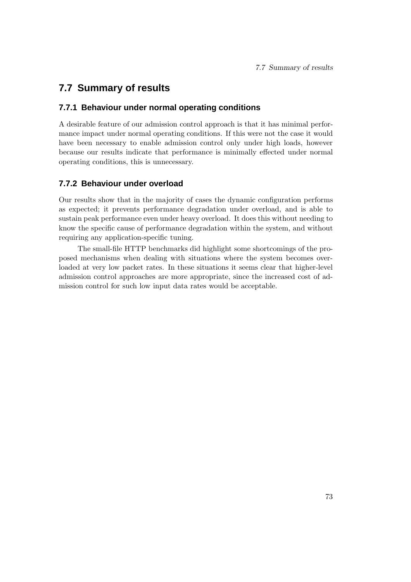# **7.7 Summary of results**

### **7.7.1 Behaviour under normal operating conditions**

A desirable feature of our admission control approach is that it has minimal performance impact under normal operating conditions. If this were not the case it would have been necessary to enable admission control only under high loads, however because our results indicate that performance is minimally effected under normal operating conditions, this is unnecessary.

## **7.7.2 Behaviour under overload**

Our results show that in the majority of cases the dynamic configuration performs as expected; it prevents performance degradation under overload, and is able to sustain peak performance even under heavy overload. It does this without needing to know the specific cause of performance degradation within the system, and without requiring any application-specific tuning.

The small-file HTTP benchmarks did highlight some shortcomings of the proposed mechanisms when dealing with situations where the system becomes overloaded at very low packet rates. In these situations it seems clear that higher-level admission control approaches are more appropriate, since the increased cost of admission control for such low input data rates would be acceptable.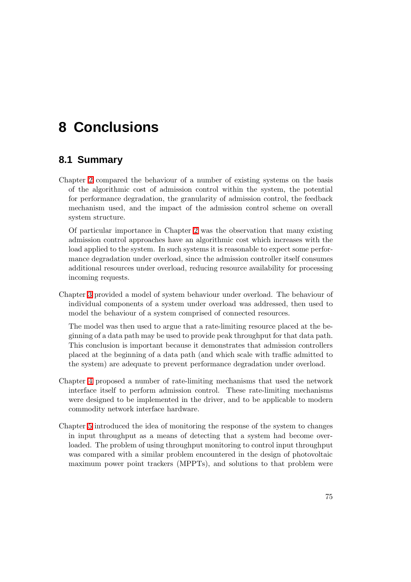# **8 Conclusions**

# **8.1 Summary**

Chapter [2](#page-24-0) compared the behaviour of a number of existing systems on the basis of the algorithmic cost of admission control within the system, the potential for performance degradation, the granularity of admission control, the feedback mechanism used, and the impact of the admission control scheme on overall system structure.

Of particular importance in Chapter [2](#page-24-0) was the observation that many existing admission control approaches have an algorithmic cost which increases with the load applied to the system. In such systems it is reasonable to expect some performance degradation under overload, since the admission controller itself consumes additional resources under overload, reducing resource availability for processing incoming requests.

Chapter [3](#page-36-0) provided a model of system behaviour under overload. The behaviour of individual components of a system under overload was addressed, then used to model the behaviour of a system comprised of connected resources.

The model was then used to argue that a rate-limiting resource placed at the beginning of a data path may be used to provide peak throughput for that data path. This conclusion is important because it demonstrates that admission controllers placed at the beginning of a data path (and which scale with traffic admitted to the system) are adequate to prevent performance degradation under overload.

- Chapter [4](#page-46-0) proposed a number of rate-limiting mechanisms that used the network interface itself to perform admission control. These rate-limiting mechanisms were designed to be implemented in the driver, and to be applicable to modern commodity network interface hardware.
- Chapter [5](#page-56-0) introduced the idea of monitoring the response of the system to changes in input throughput as a means of detecting that a system had become overloaded. The problem of using throughput monitoring to control input throughput was compared with a similar problem encountered in the design of photovoltaic maximum power point trackers (MPPTs), and solutions to that problem were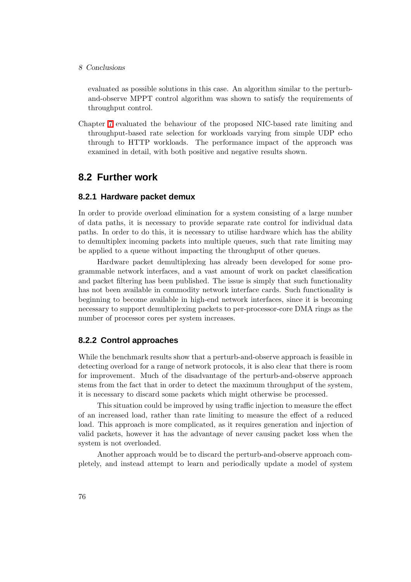#### 8 Conclusions

evaluated as possible solutions in this case. An algorithm similar to the perturband-observe MPPT control algorithm was shown to satisfy the requirements of throughput control.

Chapter [7](#page-66-0) evaluated the behaviour of the proposed NIC-based rate limiting and throughput-based rate selection for workloads varying from simple UDP echo through to HTTP workloads. The performance impact of the approach was examined in detail, with both positive and negative results shown.

# **8.2 Further work**

### **8.2.1 Hardware packet demux**

In order to provide overload elimination for a system consisting of a large number of data paths, it is necessary to provide separate rate control for individual data paths. In order to do this, it is necessary to utilise hardware which has the ability to demultiplex incoming packets into multiple queues, such that rate limiting may be applied to a queue without impacting the throughput of other queues.

Hardware packet demultiplexing has already been developed for some programmable network interfaces, and a vast amount of work on packet classification and packet filtering has been published. The issue is simply that such functionality has not been available in commodity network interface cards. Such functionality is beginning to become available in high-end network interfaces, since it is becoming necessary to support demultiplexing packets to per-processor-core DMA rings as the number of processor cores per system increases.

### **8.2.2 Control approaches**

While the benchmark results show that a perturb-and-observe approach is feasible in detecting overload for a range of network protocols, it is also clear that there is room for improvement. Much of the disadvantage of the perturb-and-observe approach stems from the fact that in order to detect the maximum throughput of the system, it is necessary to discard some packets which might otherwise be processed.

This situation could be improved by using traffic injection to measure the effect of an increased load, rather than rate limiting to measure the effect of a reduced load. This approach is more complicated, as it requires generation and injection of valid packets, however it has the advantage of never causing packet loss when the system is not overloaded.

Another approach would be to discard the perturb-and-observe approach completely, and instead attempt to learn and periodically update a model of system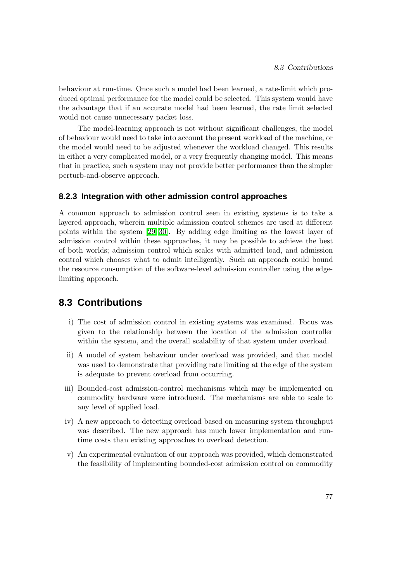behaviour at run-time. Once such a model had been learned, a rate-limit which produced optimal performance for the model could be selected. This system would have the advantage that if an accurate model had been learned, the rate limit selected would not cause unnecessary packet loss.

The model-learning approach is not without significant challenges; the model of behaviour would need to take into account the present workload of the machine, or the model would need to be adjusted whenever the workload changed. This results in either a very complicated model, or a very frequently changing model. This means that in practice, such a system may not provide better performance than the simpler perturb-and-observe approach.

### **8.2.3 Integration with other admission control approaches**

A common approach to admission control seen in existing systems is to take a layered approach, wherein multiple admission control schemes are used at different points within the system [\[29,](#page-104-1) [30\]](#page-104-2). By adding edge limiting as the lowest layer of admission control within these approaches, it may be possible to achieve the best of both worlds; admission control which scales with admitted load, and admission control which chooses what to admit intelligently. Such an approach could bound the resource consumption of the software-level admission controller using the edgelimiting approach.

## **8.3 Contributions**

- i) The cost of admission control in existing systems was examined. Focus was given to the relationship between the location of the admission controller within the system, and the overall scalability of that system under overload.
- ii) A model of system behaviour under overload was provided, and that model was used to demonstrate that providing rate limiting at the edge of the system is adequate to prevent overload from occurring.
- iii) Bounded-cost admission-control mechanisms which may be implemented on commodity hardware were introduced. The mechanisms are able to scale to any level of applied load.
- iv) A new approach to detecting overload based on measuring system throughput was described. The new approach has much lower implementation and runtime costs than existing approaches to overload detection.
- v) An experimental evaluation of our approach was provided, which demonstrated the feasibility of implementing bounded-cost admission control on commodity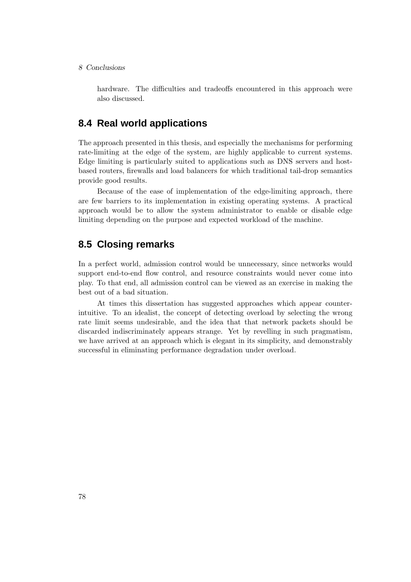#### 8 Conclusions

hardware. The difficulties and tradeoffs encountered in this approach were also discussed.

# **8.4 Real world applications**

The approach presented in this thesis, and especially the mechanisms for performing rate-limiting at the edge of the system, are highly applicable to current systems. Edge limiting is particularly suited to applications such as DNS servers and hostbased routers, firewalls and load balancers for which traditional tail-drop semantics provide good results.

Because of the ease of implementation of the edge-limiting approach, there are few barriers to its implementation in existing operating systems. A practical approach would be to allow the system administrator to enable or disable edge limiting depending on the purpose and expected workload of the machine.

# **8.5 Closing remarks**

In a perfect world, admission control would be unnecessary, since networks would support end-to-end flow control, and resource constraints would never come into play. To that end, all admission control can be viewed as an exercise in making the best out of a bad situation.

At times this dissertation has suggested approaches which appear counterintuitive. To an idealist, the concept of detecting overload by selecting the wrong rate limit seems undesirable, and the idea that that network packets should be discarded indiscriminately appears strange. Yet by revelling in such pragmatism, we have arrived at an approach which is elegant in its simplicity, and demonstrably successful in eliminating performance degradation under overload.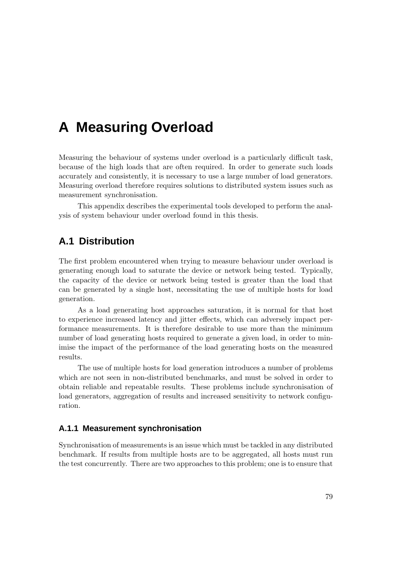# **A Measuring Overload**

Measuring the behaviour of systems under overload is a particularly difficult task, because of the high loads that are often required. In order to generate such loads accurately and consistently, it is necessary to use a large number of load generators. Measuring overload therefore requires solutions to distributed system issues such as measurement synchronisation.

This appendix describes the experimental tools developed to perform the analysis of system behaviour under overload found in this thesis.

# **A.1 Distribution**

The first problem encountered when trying to measure behaviour under overload is generating enough load to saturate the device or network being tested. Typically, the capacity of the device or network being tested is greater than the load that can be generated by a single host, necessitating the use of multiple hosts for load generation.

As a load generating host approaches saturation, it is normal for that host to experience increased latency and jitter effects, which can adversely impact performance measurements. It is therefore desirable to use more than the minimum number of load generating hosts required to generate a given load, in order to minimise the impact of the performance of the load generating hosts on the measured results.

The use of multiple hosts for load generation introduces a number of problems which are not seen in non-distributed benchmarks, and must be solved in order to obtain reliable and repeatable results. These problems include synchronisation of load generators, aggregation of results and increased sensitivity to network configuration.

### **A.1.1 Measurement synchronisation**

Synchronisation of measurements is an issue which must be tackled in any distributed benchmark. If results from multiple hosts are to be aggregated, all hosts must run the test concurrently. There are two approaches to this problem; one is to ensure that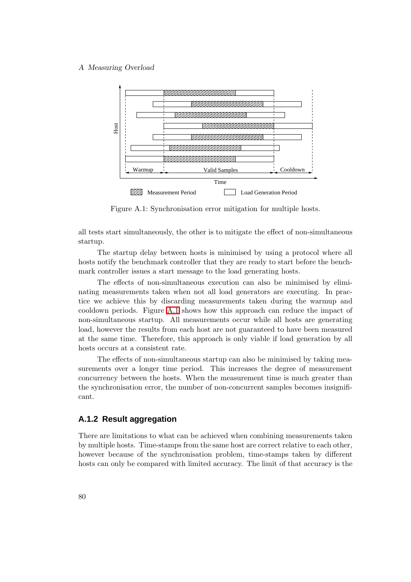#### A Measuring Overload



<span id="page-97-0"></span>Figure A.1: Synchronisation error mitigation for multiple hosts.

all tests start simultaneously, the other is to mitigate the effect of non-simultaneous startup.

The startup delay between hosts is minimised by using a protocol where all hosts notify the benchmark controller that they are ready to start before the benchmark controller issues a start message to the load generating hosts.

The effects of non-simultaneous execution can also be minimised by eliminating measurements taken when not all load generators are executing. In practice we achieve this by discarding measurements taken during the warmup and cooldown periods. Figure [A.1](#page-97-0) shows how this approach can reduce the impact of non-simultaneous startup. All measurements occur while all hosts are generating load, however the results from each host are not guaranteed to have been measured at the same time. Therefore, this approach is only viable if load generation by all hosts occurs at a consistent rate.

The effects of non-simultaneous startup can also be minimised by taking measurements over a longer time period. This increases the degree of measurement concurrency between the hosts. When the measurement time is much greater than the synchronisation error, the number of non-concurrent samples becomes insignificant.

### **A.1.2 Result aggregation**

There are limitations to what can be achieved when combining measurements taken by multiple hosts. Time-stamps from the same host are correct relative to each other, however because of the synchronisation problem, time-stamps taken by different hosts can only be compared with limited accuracy. The limit of that accuracy is the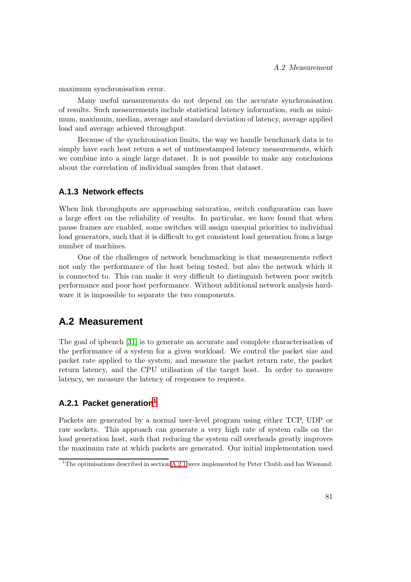maximum synchronisation error.

Many useful measurements do not depend on the accurate synchronisation of results. Such measurements include statistical latency information, such as minimum, maximum, median, average and standard deviation of latency, average applied load and average achieved throughput.

Because of the synchronisation limits, the way we handle benchmark data is to simply have each host return a set of untimestamped latency measurements, which we combine into a single large dataset. It is not possible to make any conclusions about the correlation of individual samples from that dataset.

### **A.1.3 Network effects**

When link throughputs are approaching saturation, switch configuration can have a large effect on the reliability of results. In particular, we have found that when pause frames are enabled, some switches will assign unequal priorities to individual load generators, such that it is difficult to get consistent load generation from a large number of machines.

One of the challenges of network benchmarking is that measurements reflect not only the performance of the host being tested, but also the network which it is connected to. This can make it very difficult to distinguish between poor switch performance and poor host performance. Without additional network analysis hardware it is impossible to separate the two components.

# **A.2 Measurement**

The goal of ipbench [\[31\]](#page-104-3) is to generate an accurate and complete characterisation of the performance of a system for a given workload. We control the packet size and packet rate applied to the system, and measure the packet return rate, the packet return latency, and the CPU utilisation of the target host. In order to measure latency, we measure the latency of responses to requests.

### <span id="page-98-1"></span>**A.2.1 Packet generation[1](#page-98-0)**

Packets are generated by a normal user-level program using either TCP, UDP or raw sockets. This approach can generate a very high rate of system calls on the load generation host, such that reducing the system call overheads greatly improves the maximum rate at which packets are generated. Our initial implementation used

<span id="page-98-0"></span><sup>&</sup>lt;sup>1</sup>The optimisations described in section [A.2.1](#page-98-1) were implemented by Peter Chubb and Ian Wienand.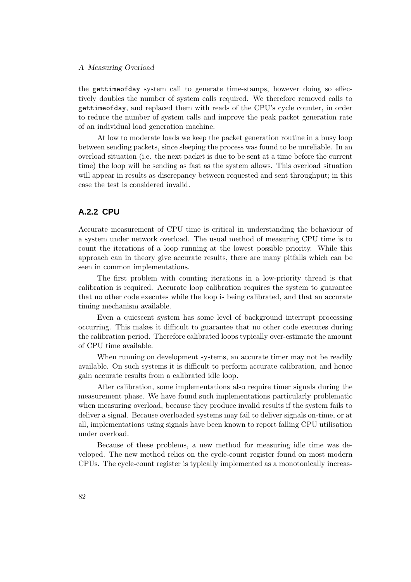#### A Measuring Overload

the gettimeofday system call to generate time-stamps, however doing so effectively doubles the number of system calls required. We therefore removed calls to gettimeofday, and replaced them with reads of the CPU's cycle counter, in order to reduce the number of system calls and improve the peak packet generation rate of an individual load generation machine.

At low to moderate loads we keep the packet generation routine in a busy loop between sending packets, since sleeping the process was found to be unreliable. In an overload situation (i.e. the next packet is due to be sent at a time before the current time) the loop will be sending as fast as the system allows. This overload situation will appear in results as discrepancy between requested and sent throughput; in this case the test is considered invalid.

### **A.2.2 CPU**

Accurate measurement of CPU time is critical in understanding the behaviour of a system under network overload. The usual method of measuring CPU time is to count the iterations of a loop running at the lowest possible priority. While this approach can in theory give accurate results, there are many pitfalls which can be seen in common implementations.

The first problem with counting iterations in a low-priority thread is that calibration is required. Accurate loop calibration requires the system to guarantee that no other code executes while the loop is being calibrated, and that an accurate timing mechanism available.

Even a quiescent system has some level of background interrupt processing occurring. This makes it difficult to guarantee that no other code executes during the calibration period. Therefore calibrated loops typically over-estimate the amount of CPU time available.

When running on development systems, an accurate timer may not be readily available. On such systems it is difficult to perform accurate calibration, and hence gain accurate results from a calibrated idle loop.

After calibration, some implementations also require timer signals during the measurement phase. We have found such implementations particularly problematic when measuring overload, because they produce invalid results if the system fails to deliver a signal. Because overloaded systems may fail to deliver signals on-time, or at all, implementations using signals have been known to report falling CPU utilisation under overload.

Because of these problems, a new method for measuring idle time was developed. The new method relies on the cycle-count register found on most modern CPUs. The cycle-count register is typically implemented as a monotonically increas-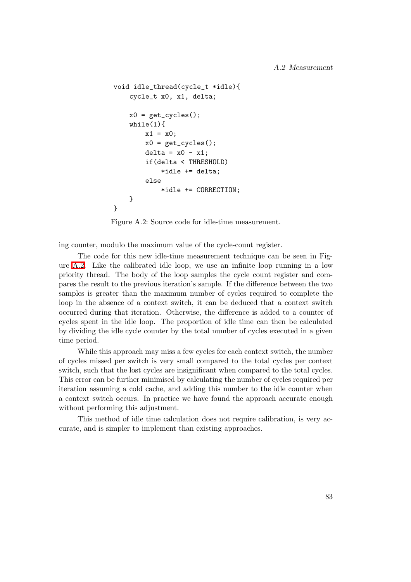```
void idle_thread(cycle_t *idle){
    cycle_t x0, x1, delta;
    x0 = get_cycles();
    while(1){
        x1 = x0;
        x0 = get_cycles();
        delta = x0 - x1;if(delta < THRESHOLD)
            *idle += delta;
        else
            *idle += CORRECTION;
    }
}
```
<span id="page-100-0"></span>Figure A.2: Source code for idle-time measurement.

ing counter, modulo the maximum value of the cycle-count register.

The code for this new idle-time measurement technique can be seen in Figure [A.2.](#page-100-0) Like the calibrated idle loop, we use an infinite loop running in a low priority thread. The body of the loop samples the cycle count register and compares the result to the previous iteration's sample. If the difference between the two samples is greater than the maximum number of cycles required to complete the loop in the absence of a context switch, it can be deduced that a context switch occurred during that iteration. Otherwise, the difference is added to a counter of cycles spent in the idle loop. The proportion of idle time can then be calculated by dividing the idle cycle counter by the total number of cycles executed in a given time period.

While this approach may miss a few cycles for each context switch, the number of cycles missed per switch is very small compared to the total cycles per context switch, such that the lost cycles are insignificant when compared to the total cycles. This error can be further minimised by calculating the number of cycles required per iteration assuming a cold cache, and adding this number to the idle counter when a context switch occurs. In practice we have found the approach accurate enough without performing this adjustment.

This method of idle time calculation does not require calibration, is very accurate, and is simpler to implement than existing approaches.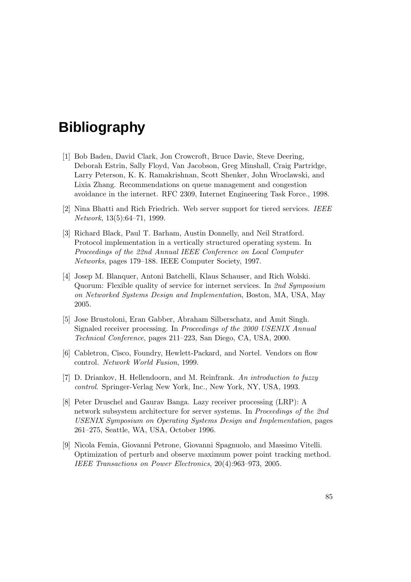# **Bibliography**

- [1] Bob Baden, David Clark, Jon Crowcroft, Bruce Davie, Steve Deering, Deborah Estrin, Sally Floyd, Van Jacobson, Greg Minshall, Craig Partridge, Larry Peterson, K. K. Ramakrishnan, Scott Shenker, John Wroclawski, and Lixia Zhang. Recommendations on queue management and congestion avoidance in the internet. RFC 2309, Internet Engineering Task Force., 1998.
- [2] Nina Bhatti and Rich Friedrich. Web server support for tiered services. IEEE Network, 13(5):64–71, 1999.
- [3] Richard Black, Paul T. Barham, Austin Donnelly, and Neil Stratford. Protocol implementation in a vertically structured operating system. In Proceedings of the 22nd Annual IEEE Conference on Local Computer Networks, pages 179–188. IEEE Computer Society, 1997.
- [4] Josep M. Blanquer, Antoni Batchelli, Klaus Schauser, and Rich Wolski. Quorum: Flexible quality of service for internet services. In 2nd Symposium on Networked Systems Design and Implementation, Boston, MA, USA, May 2005.
- [5] Jose Brustoloni, Eran Gabber, Abraham Silberschatz, and Amit Singh. Signaled receiver processing. In Proceedings of the 2000 USENIX Annual Technical Conference, pages 211–223, San Diego, CA, USA, 2000.
- <span id="page-102-0"></span>[6] Cabletron, Cisco, Foundry, Hewlett-Packard, and Nortel. Vendors on flow control. Network World Fusion, 1999.
- [7] D. Driankov, H. Hellendoorn, and M. Reinfrank. An introduction to fuzzy control. Springer-Verlag New York, Inc., New York, NY, USA, 1993.
- [8] Peter Druschel and Gaurav Banga. Lazy receiver processing (LRP): A network subsystem architecture for server systems. In Proceedings of the 2nd USENIX Symposium on Operating Systems Design and Implementation, pages 261–275, Seattle, WA, USA, October 1996.
- [9] Nicola Femia, Giovanni Petrone, Giovanni Spagnuolo, and Massimo Vitelli. Optimization of perturb and observe maximum power point tracking method. IEEE Transactions on Power Electronics, 20(4):963–973, 2005.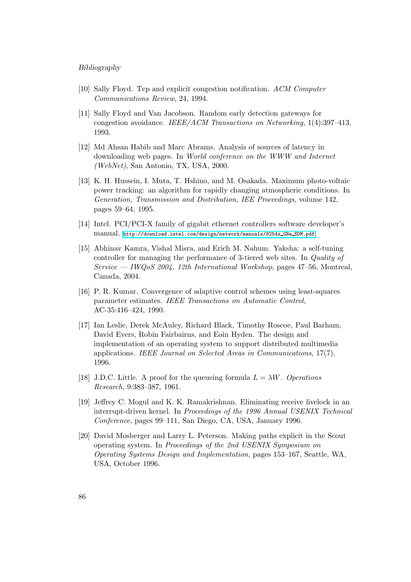#### Bibliography

- [10] Sally Floyd. Tcp and explicit congestion notification. ACM Computer Communications Review, 24, 1994.
- [11] Sally Floyd and Van Jacobson. Random early detection gateways for congestion avoidance. IEEE/ACM Transactions on Networking,  $1(4):397-413$ , 1993.
- <span id="page-103-0"></span>[12] Md Ahsan Habib and Marc Abrams. Analysis of sources of latency in downloading web pages. In World conference on the WWW and Internet (WebNet), San Antonio, TX, USA, 2000.
- [13] K. H. Hussein, I. Muta, T. Hshino, and M. Osakada. Maximum photo-voltaic power tracking: an algorithm for rapidly changing atmospheric conditions. In Generation, Transmission and Distribution, IEE Proceedings, volume 142, pages 59–64, 1995.
- [14] Intel. PCI/PCI-X family of gigabit ethernet controllers software developer's manual. [http://download.intel.com/design/network/manuals/8254x](http://download.intel.com/design/network/manuals/8254x_GBe_SDM.pdf) GBe SDM.pdf.
- [15] Abhinav Kamra, Vishal Misra, and Erich M. Nahum. Yaksha: a self-tuning controller for managing the performance of 3-tiered web sites. In Quality of Service — IWQoS 2004, 12th International Workshop, pages 47–56, Montreal, Canada, 2004.
- [16] P. R. Kumar. Convergence of adaptive control schemes using least-squares parameter estimates. IEEE Transactions on Automatic Control, AC-35:416–424, 1990.
- [17] Ian Leslie, Derek McAuley, Richard Black, Timothy Roscoe, Paul Barham, David Evers, Robin Fairbairns, and Eoin Hyden. The design and implementation of an operating system to support distributed multimedia applications. IEEE Journal on Selected Areas in Communications, 17(7), 1996.
- [18] J.D.C. Little. A proof for the queueing formula  $L = \lambda W$ . Operations Research, 9:383–387, 1961.
- [19] Jeffrey C. Mogul and K. K. Ramakrishnan. Eliminating receive livelock in an interrupt-driven kernel. In Proceedings of the 1996 Annual USENIX Technical Conference, pages 99–111, San Diego, CA, USA, January 1996.
- [20] David Mosberger and Larry L. Peterson. Making paths explicit in the Scout operating system. In Proceedings of the 2nd USENIX Symposium on Operating Systems Design and Implementation, pages 153–167, Seattle, WA, USA, October 1996.